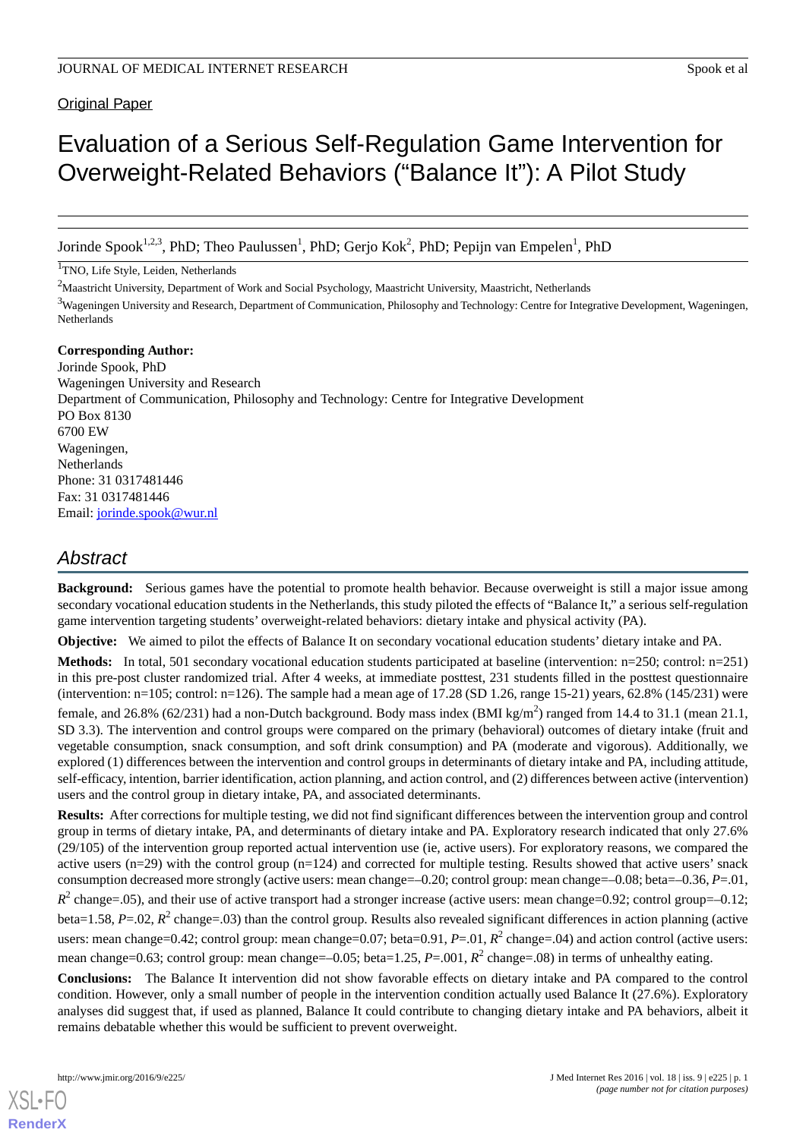**Original Paper** 

# Evaluation of a Serious Self-Regulation Game Intervention for Overweight-Related Behaviors ("Balance It"): A Pilot Study

Jorinde Spook<sup>1,2,3</sup>, PhD; Theo Paulussen<sup>1</sup>, PhD; Gerjo Kok<sup>2</sup>, PhD; Pepijn van Empelen<sup>1</sup>, PhD

<sup>1</sup>TNO, Life Style, Leiden, Netherlands

<sup>2</sup>Maastricht University, Department of Work and Social Psychology, Maastricht University, Maastricht, Netherlands <sup>3</sup>Wageningen University and Research, Department of Communication, Philosophy and Technology: Centre for Integrative Development, Wageningen, Netherlands

**Corresponding Author:** Jorinde Spook, PhD Wageningen University and Research Department of Communication, Philosophy and Technology: Centre for Integrative Development PO Box 8130 6700 EW Wageningen, Netherlands Phone: 31 0317481446 Fax: 31 0317481446 Email: [jorinde.spook@wur.nl](mailto:jorinde.spook@wur.nl)

# *Abstract*

**Background:** Serious games have the potential to promote health behavior. Because overweight is still a major issue among secondary vocational education students in the Netherlands, this study piloted the effects of "Balance It," a serious self-regulation game intervention targeting students' overweight-related behaviors: dietary intake and physical activity (PA).

**Objective:** We aimed to pilot the effects of Balance It on secondary vocational education students' dietary intake and PA.

**Methods:** In total, 501 secondary vocational education students participated at baseline (intervention: n=250; control: n=251) in this pre-post cluster randomized trial. After 4 weeks, at immediate posttest, 231 students filled in the posttest questionnaire (intervention:  $n=105$ ; control:  $n=126$ ). The sample had a mean age of 17.28 (SD 1.26, range 15-21) years, 62.8% (145/231) were female, and 26.8% (62/231) had a non-Dutch background. Body mass index (BMI kg/m<sup>2</sup>) ranged from 14.4 to 31.1 (mean 21.1, SD 3.3). The intervention and control groups were compared on the primary (behavioral) outcomes of dietary intake (fruit and vegetable consumption, snack consumption, and soft drink consumption) and PA (moderate and vigorous). Additionally, we explored (1) differences between the intervention and control groups in determinants of dietary intake and PA, including attitude, self-efficacy, intention, barrier identification, action planning, and action control, and (2) differences between active (intervention) users and the control group in dietary intake, PA, and associated determinants.

**Results:** After corrections for multiple testing, we did not find significant differences between the intervention group and control group in terms of dietary intake, PA, and determinants of dietary intake and PA. Exploratory research indicated that only 27.6% (29/105) of the intervention group reported actual intervention use (ie, active users). For exploratory reasons, we compared the active users  $(n=29)$  with the control group  $(n=124)$  and corrected for multiple testing. Results showed that active users' snack consumption decreased more strongly (active users: mean change=–0.20; control group: mean change=–0.08; beta=–0.36, *P*=.01,  $R^2$  change=.05), and their use of active transport had a stronger increase (active users: mean change=0.92; control group=-0.12; beta=1.58, *P*=.02, *R*<sup>2</sup> change=.03) than the control group. Results also revealed significant differences in action planning (active users: mean change=0.42; control group: mean change=0.07; beta=0.91, P=.01, R<sup>2</sup> change=.04) and action control (active users: mean change=0.63; control group: mean change=-0.05; beta=1.25, *P*=.001, *R*<sup>2</sup> change=.08) in terms of unhealthy eating.

**Conclusions:** The Balance It intervention did not show favorable effects on dietary intake and PA compared to the control condition. However, only a small number of people in the intervention condition actually used Balance It (27.6%). Exploratory analyses did suggest that, if used as planned, Balance It could contribute to changing dietary intake and PA behaviors, albeit it remains debatable whether this would be sufficient to prevent overweight.

[XSL](http://www.w3.org/Style/XSL)•FO **[RenderX](http://www.renderx.com/)**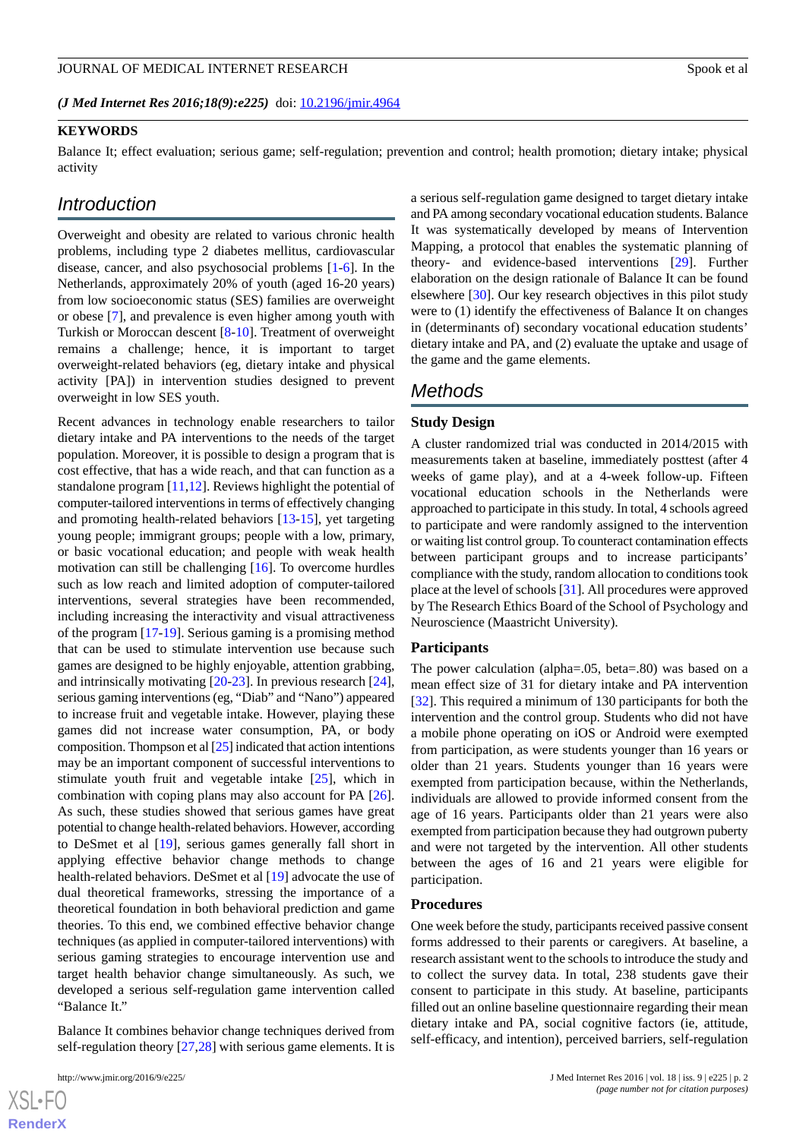*(J Med Internet Res 2016;18(9):e225)* doi:  $10.2196/$ jmir.4964

#### **KEYWORDS**

Balance It; effect evaluation; serious game; self-regulation; prevention and control; health promotion; dietary intake; physical activity

# *Introduction*

Overweight and obesity are related to various chronic health problems, including type 2 diabetes mellitus, cardiovascular disease, cancer, and also psychosocial problems [\[1](#page-10-0)-[6](#page-11-0)]. In the Netherlands, approximately 20% of youth (aged 16-20 years) from low socioeconomic status (SES) families are overweight or obese [[7\]](#page-11-1), and prevalence is even higher among youth with Turkish or Moroccan descent [[8](#page-11-2)[-10](#page-11-3)]. Treatment of overweight remains a challenge; hence, it is important to target overweight-related behaviors (eg, dietary intake and physical activity [PA]) in intervention studies designed to prevent overweight in low SES youth.

Recent advances in technology enable researchers to tailor dietary intake and PA interventions to the needs of the target population. Moreover, it is possible to design a program that is cost effective, that has a wide reach, and that can function as a standalone program [[11](#page-11-4)[,12](#page-11-5)]. Reviews highlight the potential of computer-tailored interventions in terms of effectively changing and promoting health-related behaviors [\[13](#page-11-6)-[15\]](#page-11-7), yet targeting young people; immigrant groups; people with a low, primary, or basic vocational education; and people with weak health motivation can still be challenging [\[16](#page-11-8)]. To overcome hurdles such as low reach and limited adoption of computer-tailored interventions, several strategies have been recommended, including increasing the interactivity and visual attractiveness of the program [\[17](#page-11-9)[-19](#page-11-10)]. Serious gaming is a promising method that can be used to stimulate intervention use because such games are designed to be highly enjoyable, attention grabbing, and intrinsically motivating [\[20](#page-11-11)[-23](#page-11-12)]. In previous research [[24\]](#page-12-0), serious gaming interventions (eg, "Diab" and "Nano") appeared to increase fruit and vegetable intake. However, playing these games did not increase water consumption, PA, or body composition. Thompson et al [\[25](#page-12-1)] indicated that action intentions may be an important component of successful interventions to stimulate youth fruit and vegetable intake [\[25](#page-12-1)], which in combination with coping plans may also account for PA [[26\]](#page-12-2). As such, these studies showed that serious games have great potential to change health-related behaviors. However, according to DeSmet et al [[19\]](#page-11-10), serious games generally fall short in applying effective behavior change methods to change health-related behaviors. DeSmet et al [\[19](#page-11-10)] advocate the use of dual theoretical frameworks, stressing the importance of a theoretical foundation in both behavioral prediction and game theories. To this end, we combined effective behavior change techniques (as applied in computer-tailored interventions) with serious gaming strategies to encourage intervention use and target health behavior change simultaneously. As such, we developed a serious self-regulation game intervention called "Balance It."

Balance It combines behavior change techniques derived from self-regulation theory [[27](#page-12-3)[,28](#page-12-4)] with serious game elements. It is

 $XS$  • FO **[RenderX](http://www.renderx.com/)** a serious self-regulation game designed to target dietary intake and PA among secondary vocational education students. Balance It was systematically developed by means of Intervention Mapping, a protocol that enables the systematic planning of theory- and evidence-based interventions [[29\]](#page-12-5). Further elaboration on the design rationale of Balance It can be found elsewhere [[30\]](#page-12-6). Our key research objectives in this pilot study were to (1) identify the effectiveness of Balance It on changes in (determinants of) secondary vocational education students' dietary intake and PA, and (2) evaluate the uptake and usage of the game and the game elements.

# *Methods*

#### **Study Design**

A cluster randomized trial was conducted in 2014/2015 with measurements taken at baseline, immediately posttest (after 4 weeks of game play), and at a 4-week follow-up. Fifteen vocational education schools in the Netherlands were approached to participate in this study. In total, 4 schools agreed to participate and were randomly assigned to the intervention or waiting list control group. To counteract contamination effects between participant groups and to increase participants' compliance with the study, random allocation to conditions took place at the level of schools [\[31](#page-12-7)]. All procedures were approved by The Research Ethics Board of the School of Psychology and Neuroscience (Maastricht University).

#### **Participants**

The power calculation (alpha=.05, beta=.80) was based on a mean effect size of 31 for dietary intake and PA intervention [[32\]](#page-12-8). This required a minimum of 130 participants for both the intervention and the control group. Students who did not have a mobile phone operating on iOS or Android were exempted from participation, as were students younger than 16 years or older than 21 years. Students younger than 16 years were exempted from participation because, within the Netherlands, individuals are allowed to provide informed consent from the age of 16 years. Participants older than 21 years were also exempted from participation because they had outgrown puberty and were not targeted by the intervention. All other students between the ages of 16 and 21 years were eligible for participation.

#### **Procedures**

One week before the study, participants received passive consent forms addressed to their parents or caregivers. At baseline, a research assistant went to the schools to introduce the study and to collect the survey data. In total, 238 students gave their consent to participate in this study. At baseline, participants filled out an online baseline questionnaire regarding their mean dietary intake and PA, social cognitive factors (ie, attitude, self-efficacy, and intention), perceived barriers, self-regulation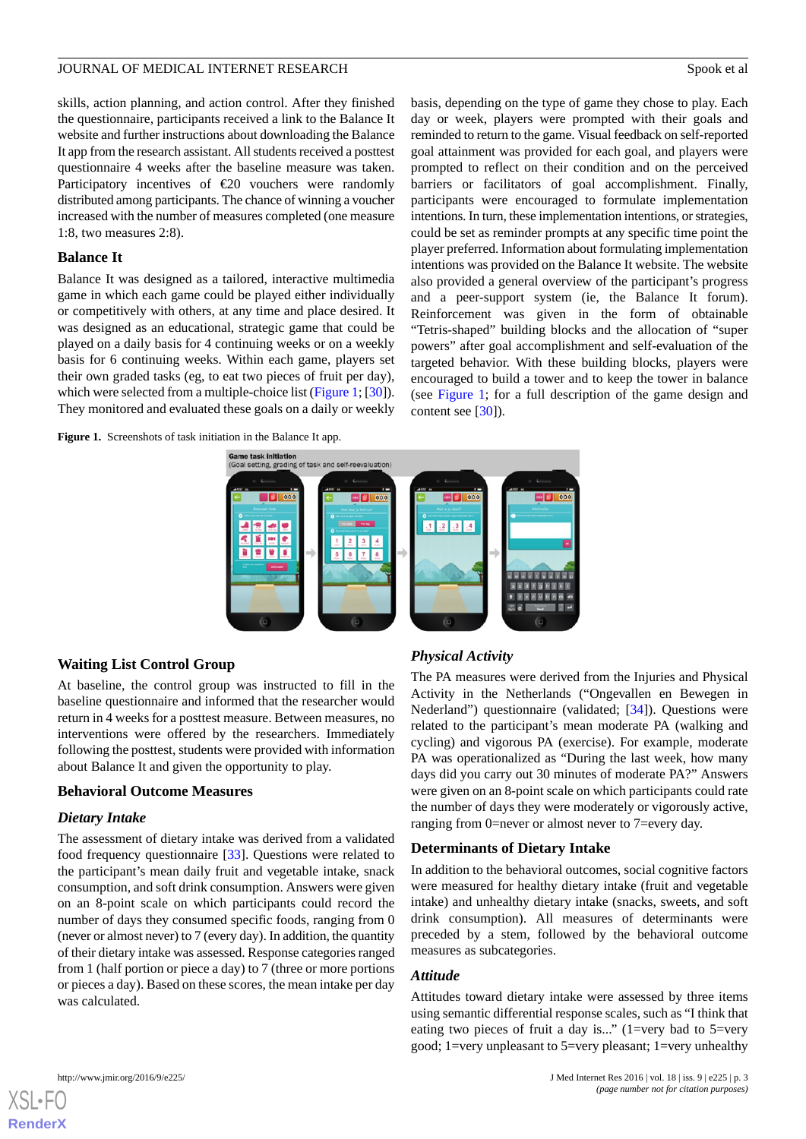skills, action planning, and action control. After they finished the questionnaire, participants received a link to the Balance It website and further instructions about downloading the Balance It app from the research assistant. All students received a posttest questionnaire 4 weeks after the baseline measure was taken. Participatory incentives of  $\epsilon$ 20 vouchers were randomly distributed among participants. The chance of winning a voucher increased with the number of measures completed (one measure 1:8, two measures 2:8).

### **Balance It**

Balance It was designed as a tailored, interactive multimedia game in which each game could be played either individually or competitively with others, at any time and place desired. It was designed as an educational, strategic game that could be played on a daily basis for 4 continuing weeks or on a weekly basis for 6 continuing weeks. Within each game, players set their own graded tasks (eg, to eat two pieces of fruit per day), which were selected from a multiple-choice list [\(Figure 1;](#page-2-0) [[30\]](#page-12-6)). They monitored and evaluated these goals on a daily or weekly

<span id="page-2-0"></span>**Figure 1.** Screenshots of task initiation in the Balance It app.

basis, depending on the type of game they chose to play. Each day or week, players were prompted with their goals and reminded to return to the game. Visual feedback on self-reported goal attainment was provided for each goal, and players were prompted to reflect on their condition and on the perceived barriers or facilitators of goal accomplishment. Finally, participants were encouraged to formulate implementation intentions. In turn, these implementation intentions, or strategies, could be set as reminder prompts at any specific time point the player preferred. Information about formulating implementation intentions was provided on the Balance It website. The website also provided a general overview of the participant's progress and a peer-support system (ie, the Balance It forum). Reinforcement was given in the form of obtainable "Tetris-shaped" building blocks and the allocation of "super powers" after goal accomplishment and self-evaluation of the targeted behavior. With these building blocks, players were encouraged to build a tower and to keep the tower in balance (see [Figure 1](#page-2-0); for a full description of the game design and content see [\[30](#page-12-6)]).



# **Waiting List Control Group**

At baseline, the control group was instructed to fill in the baseline questionnaire and informed that the researcher would return in 4 weeks for a posttest measure. Between measures, no interventions were offered by the researchers. Immediately following the posttest, students were provided with information about Balance It and given the opportunity to play.

# **Behavioral Outcome Measures**

# *Dietary Intake*

The assessment of dietary intake was derived from a validated food frequency questionnaire [[33\]](#page-12-9). Questions were related to the participant's mean daily fruit and vegetable intake, snack consumption, and soft drink consumption. Answers were given on an 8-point scale on which participants could record the number of days they consumed specific foods, ranging from 0 (never or almost never) to 7 (every day). In addition, the quantity of their dietary intake was assessed. Response categories ranged from 1 (half portion or piece a day) to 7 (three or more portions or pieces a day). Based on these scores, the mean intake per day was calculated.

# *Physical Activity*

The PA measures were derived from the Injuries and Physical Activity in the Netherlands ("Ongevallen en Bewegen in Nederland") questionnaire (validated; [[34\]](#page-12-10)). Questions were related to the participant's mean moderate PA (walking and cycling) and vigorous PA (exercise). For example, moderate PA was operationalized as "During the last week, how many days did you carry out 30 minutes of moderate PA?" Answers were given on an 8-point scale on which participants could rate the number of days they were moderately or vigorously active, ranging from 0=never or almost never to 7=every day.

# **Determinants of Dietary Intake**

In addition to the behavioral outcomes, social cognitive factors were measured for healthy dietary intake (fruit and vegetable intake) and unhealthy dietary intake (snacks, sweets, and soft drink consumption). All measures of determinants were preceded by a stem, followed by the behavioral outcome measures as subcategories.

#### *Attitude*

Attitudes toward dietary intake were assessed by three items using semantic differential response scales, such as "I think that eating two pieces of fruit a day is..." (1=very bad to 5=very good; 1=very unpleasant to 5=very pleasant; 1=very unhealthy



[XSL](http://www.w3.org/Style/XSL)•FO **[RenderX](http://www.renderx.com/)**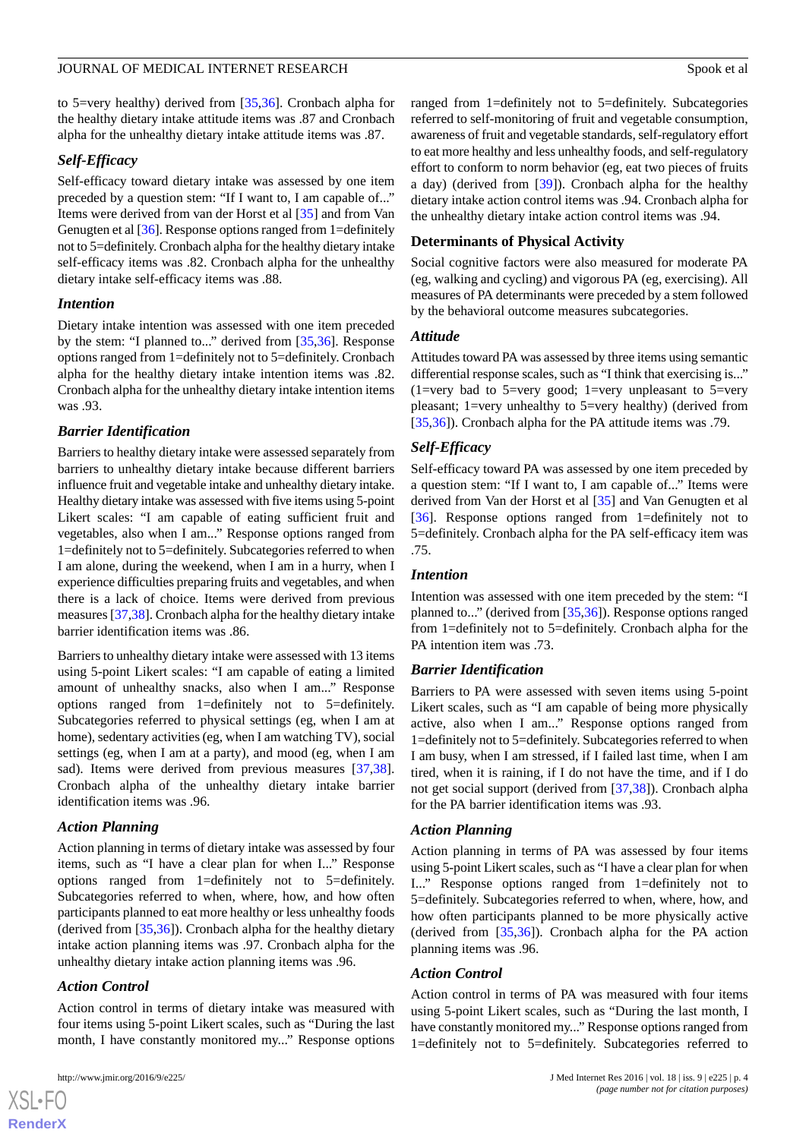to 5=very healthy) derived from [[35](#page-12-11)[,36](#page-12-12)]. Cronbach alpha for the healthy dietary intake attitude items was .87 and Cronbach alpha for the unhealthy dietary intake attitude items was .87.

#### *Self-Efficacy*

Self-efficacy toward dietary intake was assessed by one item preceded by a question stem: "If I want to, I am capable of..." Items were derived from van der Horst et al [[35\]](#page-12-11) and from Van Genugten et al [\[36](#page-12-12)]. Response options ranged from 1=definitely not to 5=definitely. Cronbach alpha for the healthy dietary intake self-efficacy items was .82. Cronbach alpha for the unhealthy dietary intake self-efficacy items was .88.

#### *Intention*

Dietary intake intention was assessed with one item preceded by the stem: "I planned to..." derived from [[35](#page-12-11)[,36](#page-12-12)]. Response options ranged from 1=definitely not to 5=definitely. Cronbach alpha for the healthy dietary intake intention items was .82. Cronbach alpha for the unhealthy dietary intake intention items was .93.

#### *Barrier Identification*

Barriers to healthy dietary intake were assessed separately from barriers to unhealthy dietary intake because different barriers influence fruit and vegetable intake and unhealthy dietary intake. Healthy dietary intake was assessed with five items using 5-point Likert scales: "I am capable of eating sufficient fruit and vegetables, also when I am..." Response options ranged from 1=definitely not to 5=definitely. Subcategories referred to when I am alone, during the weekend, when I am in a hurry, when I experience difficulties preparing fruits and vegetables, and when there is a lack of choice. Items were derived from previous measures [[37,](#page-12-13)[38](#page-12-14)]. Cronbach alpha for the healthy dietary intake barrier identification items was .86.

Barriers to unhealthy dietary intake were assessed with 13 items using 5-point Likert scales: "I am capable of eating a limited amount of unhealthy snacks, also when I am..." Response options ranged from 1=definitely not to 5=definitely. Subcategories referred to physical settings (eg, when I am at home), sedentary activities (eg, when I am watching TV), social settings (eg, when I am at a party), and mood (eg, when I am sad). Items were derived from previous measures [\[37](#page-12-13),[38\]](#page-12-14). Cronbach alpha of the unhealthy dietary intake barrier identification items was .96.

#### *Action Planning*

Action planning in terms of dietary intake was assessed by four items, such as "I have a clear plan for when I..." Response options ranged from 1=definitely not to 5=definitely. Subcategories referred to when, where, how, and how often participants planned to eat more healthy or less unhealthy foods (derived from [\[35](#page-12-11),[36\]](#page-12-12)). Cronbach alpha for the healthy dietary intake action planning items was .97. Cronbach alpha for the unhealthy dietary intake action planning items was .96.

#### *Action Control*

 $XS$ -FO **[RenderX](http://www.renderx.com/)**

Action control in terms of dietary intake was measured with four items using 5-point Likert scales, such as "During the last month, I have constantly monitored my..." Response options

ranged from 1=definitely not to 5=definitely. Subcategories referred to self-monitoring of fruit and vegetable consumption, awareness of fruit and vegetable standards, self-regulatory effort to eat more healthy and less unhealthy foods, and self-regulatory effort to conform to norm behavior (eg, eat two pieces of fruits a day) (derived from [\[39](#page-12-15)]). Cronbach alpha for the healthy dietary intake action control items was .94. Cronbach alpha for the unhealthy dietary intake action control items was .94.

#### **Determinants of Physical Activity**

Social cognitive factors were also measured for moderate PA (eg, walking and cycling) and vigorous PA (eg, exercising). All measures of PA determinants were preceded by a stem followed by the behavioral outcome measures subcategories.

#### *Attitude*

Attitudes toward PA was assessed by three items using semantic differential response scales, such as "I think that exercising is..." (1=very bad to 5=very good; 1=very unpleasant to 5=very pleasant; 1=very unhealthy to 5=very healthy) (derived from [[35,](#page-12-11)[36\]](#page-12-12)). Cronbach alpha for the PA attitude items was .79.

#### *Self-Efficacy*

Self-efficacy toward PA was assessed by one item preceded by a question stem: "If I want to, I am capable of..." Items were derived from Van der Horst et al [[35\]](#page-12-11) and Van Genugten et al [[36\]](#page-12-12). Response options ranged from 1=definitely not to 5=definitely. Cronbach alpha for the PA self-efficacy item was .75.

#### *Intention*

Intention was assessed with one item preceded by the stem: "I planned to..." (derived from [\[35](#page-12-11),[36\]](#page-12-12)). Response options ranged from 1=definitely not to 5=definitely. Cronbach alpha for the PA intention item was .73.

#### *Barrier Identification*

Barriers to PA were assessed with seven items using 5-point Likert scales, such as "I am capable of being more physically active, also when I am..." Response options ranged from 1=definitely not to 5=definitely. Subcategories referred to when I am busy, when I am stressed, if I failed last time, when I am tired, when it is raining, if I do not have the time, and if I do not get social support (derived from [[37](#page-12-13)[,38](#page-12-14)]). Cronbach alpha for the PA barrier identification items was .93.

#### *Action Planning*

Action planning in terms of PA was assessed by four items using 5-point Likert scales, such as "I have a clear plan for when I..." Response options ranged from 1=definitely not to 5=definitely. Subcategories referred to when, where, how, and how often participants planned to be more physically active (derived from [[35,](#page-12-11)[36](#page-12-12)]). Cronbach alpha for the PA action planning items was .96.

#### *Action Control*

Action control in terms of PA was measured with four items using 5-point Likert scales, such as "During the last month, I have constantly monitored my..." Response options ranged from 1=definitely not to 5=definitely. Subcategories referred to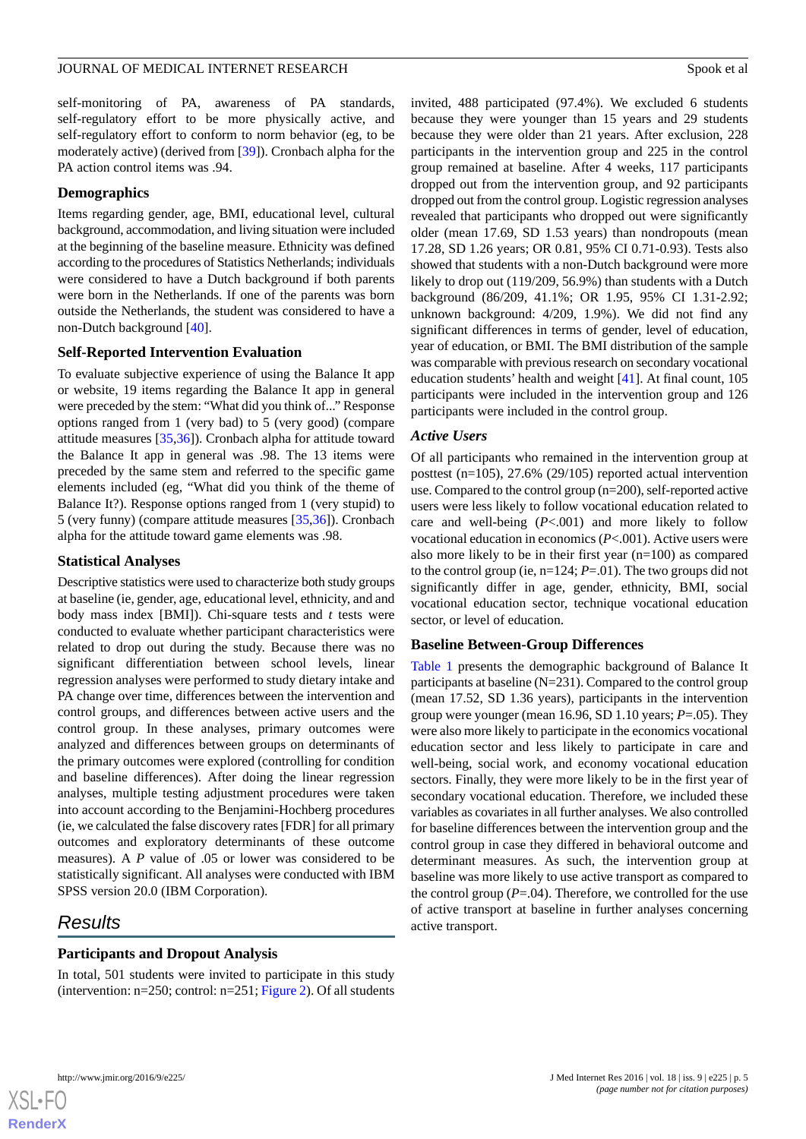self-monitoring of PA, awareness of PA standards, self-regulatory effort to be more physically active, and self-regulatory effort to conform to norm behavior (eg, to be moderately active) (derived from [\[39](#page-12-15)]). Cronbach alpha for the PA action control items was .94.

#### **Demographics**

Items regarding gender, age, BMI, educational level, cultural background, accommodation, and living situation were included at the beginning of the baseline measure. Ethnicity was defined according to the procedures of Statistics Netherlands; individuals were considered to have a Dutch background if both parents were born in the Netherlands. If one of the parents was born outside the Netherlands, the student was considered to have a non-Dutch background [[40\]](#page-12-16).

#### **Self-Reported Intervention Evaluation**

To evaluate subjective experience of using the Balance It app or website, 19 items regarding the Balance It app in general were preceded by the stem: "What did you think of..." Response options ranged from 1 (very bad) to 5 (very good) (compare attitude measures [\[35](#page-12-11)[,36](#page-12-12)]). Cronbach alpha for attitude toward the Balance It app in general was .98. The 13 items were preceded by the same stem and referred to the specific game elements included (eg, "What did you think of the theme of Balance It?). Response options ranged from 1 (very stupid) to 5 (very funny) (compare attitude measures [[35,](#page-12-11)[36](#page-12-12)]). Cronbach alpha for the attitude toward game elements was .98.

#### **Statistical Analyses**

Descriptive statistics were used to characterize both study groups at baseline (ie, gender, age, educational level, ethnicity, and and body mass index [BMI]). Chi-square tests and *t* tests were conducted to evaluate whether participant characteristics were related to drop out during the study. Because there was no significant differentiation between school levels, linear regression analyses were performed to study dietary intake and PA change over time, differences between the intervention and control groups, and differences between active users and the control group. In these analyses, primary outcomes were analyzed and differences between groups on determinants of the primary outcomes were explored (controlling for condition and baseline differences). After doing the linear regression analyses, multiple testing adjustment procedures were taken into account according to the Benjamini-Hochberg procedures (ie, we calculated the false discovery rates [FDR] for all primary outcomes and exploratory determinants of these outcome measures). A *P* value of .05 or lower was considered to be statistically significant. All analyses were conducted with IBM SPSS version 20.0 (IBM Corporation).

# *Results*

#### **Participants and Dropout Analysis**

In total, 501 students were invited to participate in this study (intervention:  $n=250$ ; control:  $n=251$ ; [Figure 2](#page-5-0)). Of all students invited, 488 participated (97.4%). We excluded 6 students because they were younger than 15 years and 29 students because they were older than 21 years. After exclusion, 228 participants in the intervention group and 225 in the control group remained at baseline. After 4 weeks, 117 participants dropped out from the intervention group, and 92 participants dropped out from the control group. Logistic regression analyses revealed that participants who dropped out were significantly older (mean 17.69, SD 1.53 years) than nondropouts (mean 17.28, SD 1.26 years; OR 0.81, 95% CI 0.71-0.93). Tests also showed that students with a non-Dutch background were more likely to drop out (119/209, 56.9%) than students with a Dutch background (86/209, 41.1%; OR 1.95, 95% CI 1.31-2.92; unknown background: 4/209, 1.9%). We did not find any significant differences in terms of gender, level of education, year of education, or BMI. The BMI distribution of the sample was comparable with previous research on secondary vocational education students' health and weight [\[41](#page-12-17)]. At final count, 105 participants were included in the intervention group and 126 participants were included in the control group.

#### *Active Users*

Of all participants who remained in the intervention group at posttest (n=105), 27.6% (29/105) reported actual intervention use. Compared to the control group (n=200), self-reported active users were less likely to follow vocational education related to care and well-being (*P*<.001) and more likely to follow vocational education in economics (*P*<.001). Active users were also more likely to be in their first year (n=100) as compared to the control group (ie, n=124; *P*=.01). The two groups did not significantly differ in age, gender, ethnicity, BMI, social vocational education sector, technique vocational education sector, or level of education.

#### **Baseline Between-Group Differences**

[Table 1](#page-6-0) presents the demographic background of Balance It participants at baseline (N=231). Compared to the control group (mean 17.52, SD 1.36 years), participants in the intervention group were younger (mean 16.96, SD 1.10 years; *P*=.05). They were also more likely to participate in the economics vocational education sector and less likely to participate in care and well-being, social work, and economy vocational education sectors. Finally, they were more likely to be in the first year of secondary vocational education. Therefore, we included these variables as covariates in all further analyses. We also controlled for baseline differences between the intervention group and the control group in case they differed in behavioral outcome and determinant measures. As such, the intervention group at baseline was more likely to use active transport as compared to the control group  $(P=0.04)$ . Therefore, we controlled for the use of active transport at baseline in further analyses concerning active transport.



**[RenderX](http://www.renderx.com/)**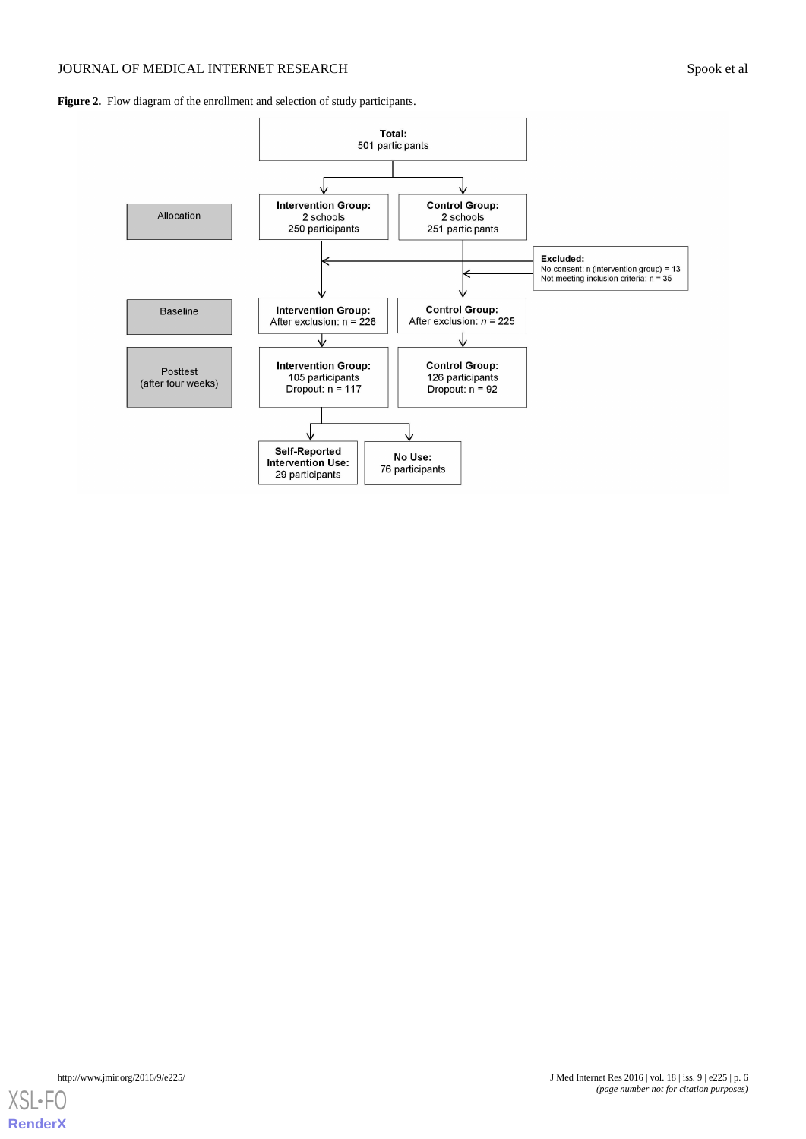# JOURNAL OF MEDICAL INTERNET RESEARCH Spook et al

<span id="page-5-0"></span>Figure 2. Flow diagram of the enrollment and selection of study participants.



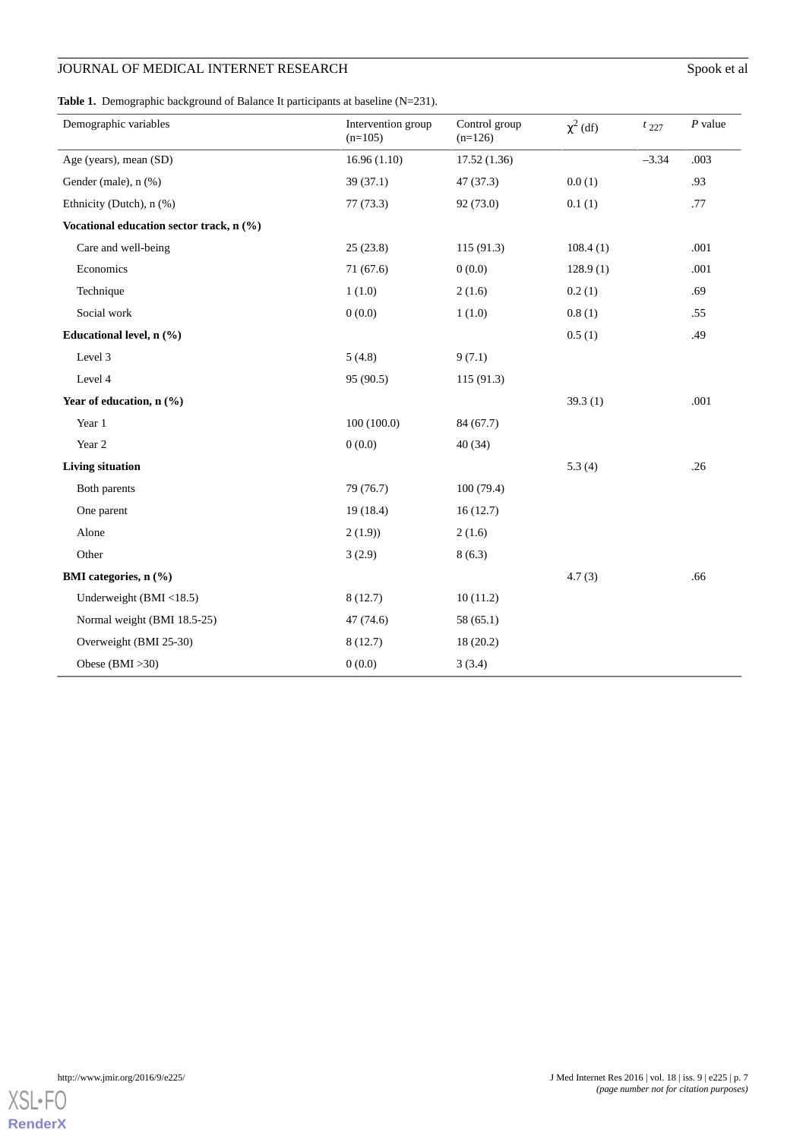# JOURNAL OF MEDICAL INTERNET RESEARCH Spook et al

<span id="page-6-0"></span>Table 1. Demographic background of Balance It participants at baseline (N=231).

| Demographic variables                    | Intervention group<br>$(n=105)$ | Control group<br>$(n=126)$ | $\chi^2$ (df) | $t_{227}$ | $P$ value |
|------------------------------------------|---------------------------------|----------------------------|---------------|-----------|-----------|
| Age (years), mean (SD)                   | 16.96(1.10)                     | 17.52(1.36)                |               | $-3.34$   | .003      |
| Gender (male), n (%)                     | 39(37.1)                        | 47 (37.3)                  | 0.0(1)        |           | .93       |
| Ethnicity (Dutch), n (%)                 | 77(73.3)                        | 92 (73.0)                  | 0.1(1)        |           | .77       |
| Vocational education sector track, n (%) |                                 |                            |               |           |           |
| Care and well-being                      | 25(23.8)                        | 115(91.3)                  | 108.4(1)      |           | .001      |
| Economics                                | 71 (67.6)                       | 0(0.0)                     | 128.9(1)      |           | .001      |
| Technique                                | 1(1.0)                          | 2(1.6)                     | 0.2(1)        |           | .69       |
| Social work                              | 0(0.0)                          | 1(1.0)                     | 0.8(1)        |           | .55       |
| Educational level, n (%)                 |                                 |                            | 0.5(1)        |           | .49       |
| Level 3                                  | 5(4.8)                          | 9(7.1)                     |               |           |           |
| Level 4                                  | 95 (90.5)                       | 115(91.3)                  |               |           |           |
| Year of education, $n$ (%)               |                                 |                            | 39.3(1)       |           | .001      |
| Year 1                                   | 100(100.0)                      | 84 (67.7)                  |               |           |           |
| Year 2                                   | 0(0.0)                          | 40(34)                     |               |           |           |
| <b>Living situation</b>                  |                                 |                            | 5.3(4)        |           | .26       |
| Both parents                             | 79 (76.7)                       | 100(79.4)                  |               |           |           |
| One parent                               | 19(18.4)                        | 16(12.7)                   |               |           |           |
| Alone                                    | 2(1.9)                          | 2(1.6)                     |               |           |           |
| Other                                    | 3(2.9)                          | 8(6.3)                     |               |           |           |
| BMI categories, n (%)                    |                                 |                            | 4.7(3)        |           | .66       |
| Underweight (BMI <18.5)                  | 8(12.7)                         | 10(11.2)                   |               |           |           |
| Normal weight (BMI 18.5-25)              | 47 (74.6)                       | 58 (65.1)                  |               |           |           |
| Overweight (BMI 25-30)                   | 8(12.7)                         | 18(20.2)                   |               |           |           |
| Obese $(BMI > 30)$                       | 0(0.0)                          | 3(3.4)                     |               |           |           |

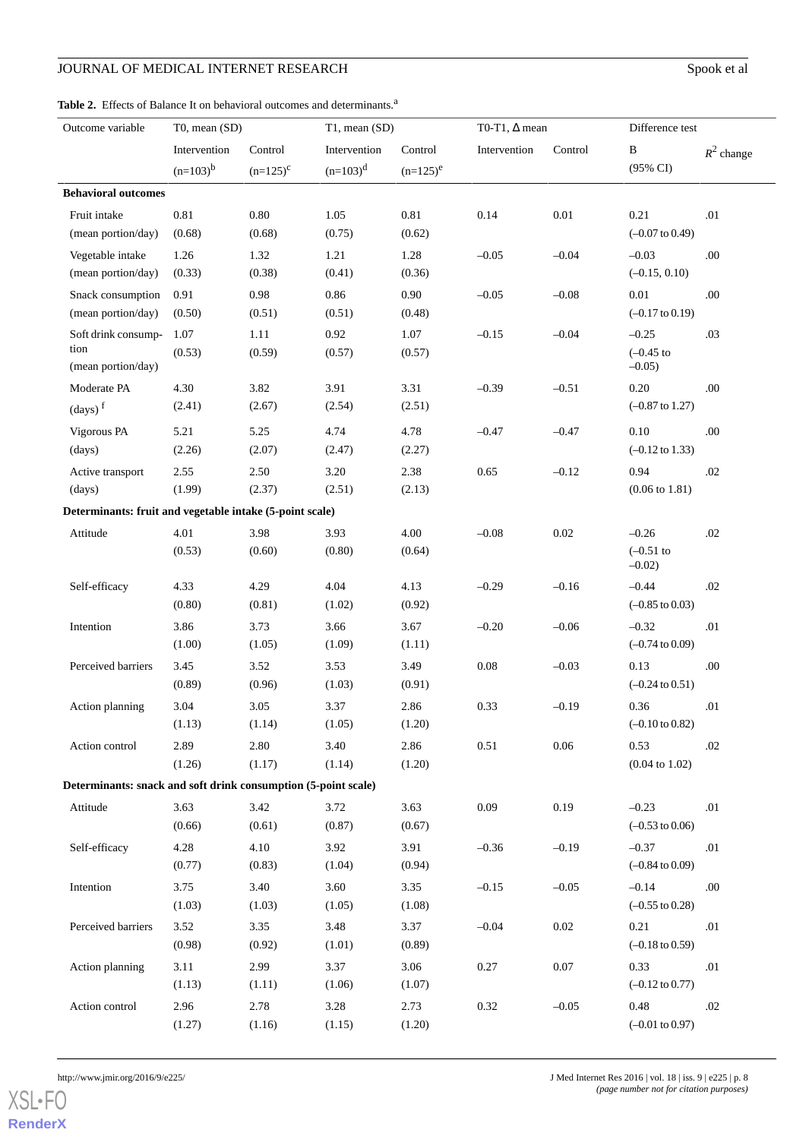# JOURNAL OF MEDICAL INTERNET RESEARCH Spook et al

# <span id="page-7-0"></span>Table 2. Effects of Balance It on behavioral outcomes and determinants.<sup>a</sup>

| Outcome variable                                               | $T0$ , mean $(SD)$ |               | T1, mean (SD) |             | T0-T1, $\Delta$ mean    |          | Difference test            |              |
|----------------------------------------------------------------|--------------------|---------------|---------------|-------------|-------------------------|----------|----------------------------|--------------|
|                                                                | Intervention       | Control       | Intervention  | Control     | Control<br>Intervention |          | $\, {\bf B}$               | $R^2$ change |
|                                                                | $(n=103)^{b}$      | $(n=125)^{c}$ | $(n=103)^d$   | $(n=125)^e$ |                         |          | (95% CI)                   |              |
| <b>Behavioral outcomes</b>                                     |                    |               |               |             |                         |          |                            |              |
| Fruit intake                                                   | 0.81               | $0.80\,$      | 1.05          | 0.81        | 0.14                    | $0.01\,$ | 0.21                       | .01          |
| (mean portion/day)                                             | (0.68)             | (0.68)        | (0.75)        | (0.62)      |                         |          | $(-0.07 \text{ to } 0.49)$ |              |
| Vegetable intake                                               | 1.26               | 1.32          | 1.21          | 1.28        | $-0.05$                 | $-0.04$  | $-0.03$                    | .00.         |
| (mean portion/day)                                             | (0.33)             | (0.38)        | (0.41)        | (0.36)      |                         |          | $(-0.15, 0.10)$            |              |
| Snack consumption                                              | 0.91               | 0.98          | 0.86          | 0.90        | $-0.05$                 | $-0.08$  | 0.01                       | .00          |
| (mean portion/day)                                             | (0.50)             | (0.51)        | (0.51)        | (0.48)      |                         |          | $(-0.17 \text{ to } 0.19)$ |              |
| Soft drink consump-                                            | 1.07               | 1.11          | 0.92          | 1.07        | $-0.15$                 | $-0.04$  | $-0.25$                    | .03          |
| tion                                                           | (0.53)             | (0.59)        | (0.57)        | (0.57)      |                         |          | $(-0.45)$ to               |              |
| (mean portion/day)                                             |                    |               |               |             |                         |          | $-0.05$ )                  |              |
| Moderate PA                                                    | 4.30               | 3.82          | 3.91          | 3.31        | $-0.39$                 | $-0.51$  | 0.20                       | .00          |
| $\left(\text{days}\right)^f$                                   | (2.41)             | (2.67)        | (2.54)        | (2.51)      |                         |          | $(-0.87 \text{ to } 1.27)$ |              |
| Vigorous PA                                                    | 5.21               | 5.25          | 4.74          | 4.78        | $-0.47$                 | $-0.47$  | 0.10                       | .00.         |
| (days)                                                         | (2.26)             | (2.07)        | (2.47)        | (2.27)      |                         |          | $(-0.12 \text{ to } 1.33)$ |              |
| Active transport                                               | 2.55               | 2.50          | 3.20          | 2.38        | 0.65                    | $-0.12$  | 0.94                       | .02          |
| (days)                                                         | (1.99)             | (2.37)        | (2.51)        | (2.13)      |                         |          | $(0.06 \text{ to } 1.81)$  |              |
| Determinants: fruit and vegetable intake (5-point scale)       |                    |               |               |             |                         |          |                            |              |
| Attitude                                                       | 4.01               | 3.98          | 3.93          | 4.00        | $-0.08$                 | $0.02\,$ | $-0.26$                    | .02          |
|                                                                | (0.53)             | (0.60)        | (0.80)        | (0.64)      |                         |          | $(-0.51)$ to<br>$-0.02$ )  |              |
| Self-efficacy                                                  | 4.33               | 4.29          | 4.04          | 4.13        | $-0.29$                 | $-0.16$  | $-0.44$                    | $.02\,$      |
|                                                                | (0.80)             | (0.81)        | (1.02)        | (0.92)      |                         |          | $(-0.85 \text{ to } 0.03)$ |              |
| Intention                                                      | 3.86               | 3.73          | 3.66          | 3.67        | $-0.20$                 | $-0.06$  | $-0.32$                    | $.01\,$      |
|                                                                | (1.00)             | (1.05)        | (1.09)        | (1.11)      |                         |          | $(-0.74 \text{ to } 0.09)$ |              |
| Perceived barriers                                             | 3.45               | 3.52          | 3.53          | 3.49        | $0.08\,$                | $-0.03$  | 0.13                       | .00.         |
|                                                                | (0.89)             | (0.96)        | (1.03)        | (0.91)      |                         |          | $(-0.24 \text{ to } 0.51)$ |              |
| Action planning                                                | 3.04               | 3.05          | 3.37          | 2.86        | 0.33                    | $-0.19$  | 0.36                       | .01          |
|                                                                | (1.13)             | (1.14)        | (1.05)        | (1.20)      |                         |          | $(-0.10 \text{ to } 0.82)$ |              |
| Action control                                                 | 2.89               | 2.80          | 3.40          | 2.86        | 0.51                    | 0.06     | 0.53                       | .02          |
|                                                                | (1.26)             | (1.17)        | (1.14)        | (1.20)      |                         |          | $(0.04 \text{ to } 1.02)$  |              |
| Determinants: snack and soft drink consumption (5-point scale) |                    |               |               |             |                         |          |                            |              |
| Attitude                                                       | 3.63               | 3.42          | 3.72          | 3.63        | 0.09                    | 0.19     | $-0.23$                    | .01          |
|                                                                | (0.66)             | (0.61)        | (0.87)        | (0.67)      |                         |          | $(-0.53 \text{ to } 0.06)$ |              |
| Self-efficacy                                                  | 4.28               | 4.10          | 3.92          | 3.91        | $-0.36$                 | $-0.19$  | $-0.37$                    | .01          |
|                                                                | (0.77)             | (0.83)        | (1.04)        | (0.94)      |                         |          | $(-0.84 \text{ to } 0.09)$ |              |
| Intention                                                      | 3.75               | 3.40          | 3.60          | 3.35        | $-0.15$                 | $-0.05$  | $-0.14$                    | .00          |
|                                                                | (1.03)             | (1.03)        | (1.05)        | (1.08)      |                         |          | $(-0.55 \text{ to } 0.28)$ |              |
| Perceived barriers                                             | 3.52               | 3.35          | 3.48          | 3.37        | $-0.04$                 | 0.02     | 0.21                       | .01          |
|                                                                | (0.98)             | (0.92)        | (1.01)        | (0.89)      |                         |          | $(-0.18 \text{ to } 0.59)$ |              |
| Action planning                                                | 3.11               | 2.99          | 3.37          | 3.06        | 0.27                    | 0.07     | 0.33                       | .01          |
|                                                                | (1.13)             | (1.11)        | (1.06)        | (1.07)      |                         |          | $(-0.12 \text{ to } 0.77)$ |              |
| Action control                                                 | 2.96               | 2.78          | 3.28          | 2.73        | 0.32                    | $-0.05$  | 0.48                       | .02          |
|                                                                | (1.27)             | (1.16)        | (1.15)        | (1.20)      |                         |          | $(-0.01 \text{ to } 0.97)$ |              |

```
XSL•FO
RenderX
```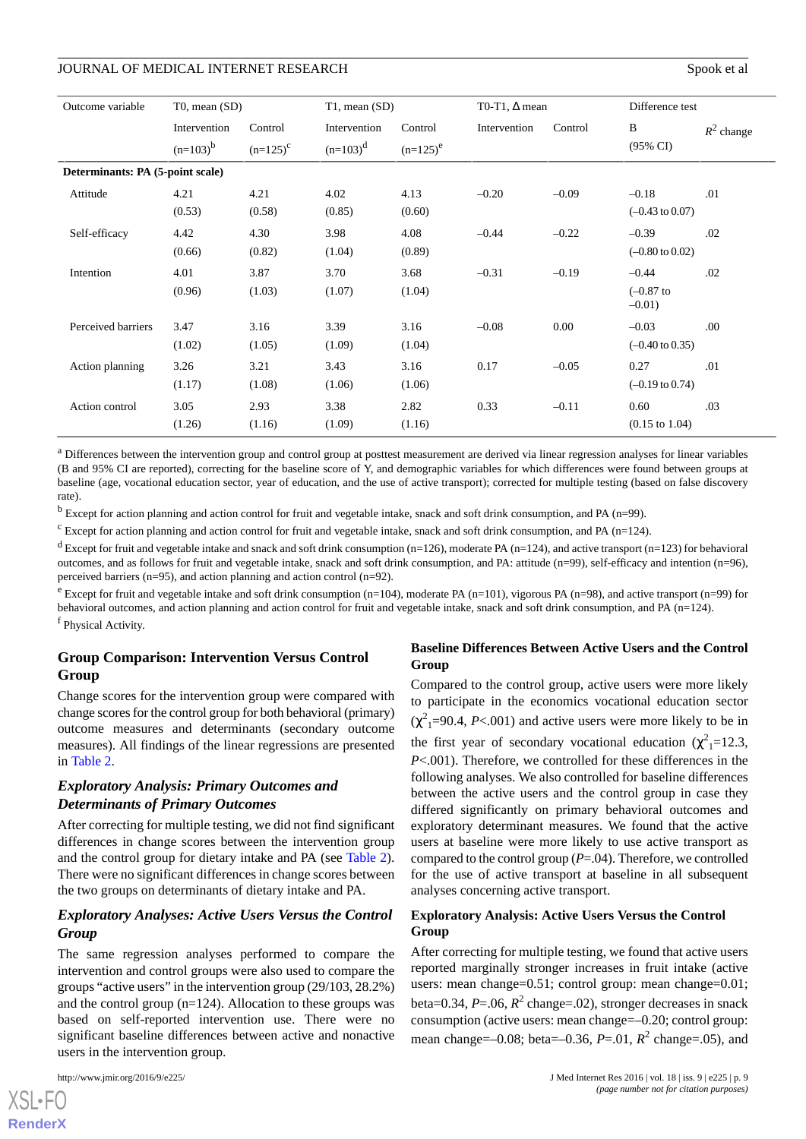| Outcome variable                 | $T0$ , mean $(SD)$            |                          | $T1$ , mean $(SD)$          |                        | T0-T1, $\Delta$ mean |         | Difference test                       |              |
|----------------------------------|-------------------------------|--------------------------|-----------------------------|------------------------|----------------------|---------|---------------------------------------|--------------|
|                                  | Intervention<br>$(n=103)^{b}$ | Control<br>$(n=125)^{c}$ | Intervention<br>$(n=103)^d$ | Control<br>$(n=125)^e$ | Intervention         | Control | B<br>$(95\% \text{ CI})$              | $R^2$ change |
| Determinants: PA (5-point scale) |                               |                          |                             |                        |                      |         |                                       |              |
| Attitude                         | 4.21<br>(0.53)                | 4.21<br>(0.58)           | 4.02<br>(0.85)              | 4.13<br>(0.60)         | $-0.20$              | $-0.09$ | $-0.18$<br>$(-0.43 \text{ to } 0.07)$ | .01          |
| Self-efficacy                    | 4.42<br>(0.66)                | 4.30<br>(0.82)           | 3.98<br>(1.04)              | 4.08<br>(0.89)         | $-0.44$              | $-0.22$ | $-0.39$<br>$(-0.80 \text{ to } 0.02)$ | .02          |
| Intention                        | 4.01<br>(0.96)                | 3.87<br>(1.03)           | 3.70<br>(1.07)              | 3.68<br>(1.04)         | $-0.31$              | $-0.19$ | $-0.44$<br>$(-0.87)$ to<br>$-0.01$ )  | .02          |
| Perceived barriers               | 3.47<br>(1.02)                | 3.16<br>(1.05)           | 3.39<br>(1.09)              | 3.16<br>(1.04)         | $-0.08$              | 0.00    | $-0.03$<br>$(-0.40 \text{ to } 0.35)$ | .00          |
| Action planning                  | 3.26<br>(1.17)                | 3.21<br>(1.08)           | 3.43<br>(1.06)              | 3.16<br>(1.06)         | 0.17                 | $-0.05$ | 0.27<br>$(-0.19 \text{ to } 0.74)$    | .01          |
| Action control                   | 3.05<br>(1.26)                | 2.93<br>(1.16)           | 3.38<br>(1.09)              | 2.82<br>(1.16)         | 0.33                 | $-0.11$ | 0.60<br>$(0.15 \text{ to } 1.04)$     | .03          |

<sup>a</sup> Differences between the intervention group and control group at posttest measurement are derived via linear regression analyses for linear variables (B and 95% CI are reported), correcting for the baseline score of Y, and demographic variables for which differences were found between groups at baseline (age, vocational education sector, year of education, and the use of active transport); corrected for multiple testing (based on false discovery rate).

 $<sup>b</sup>$  Except for action planning and action control for fruit and vegetable intake, snack and soft drink consumption, and PA (n=99).</sup>

 $c$  Except for action planning and action control for fruit and vegetable intake, snack and soft drink consumption, and PA (n=124).

<sup>d</sup> Except for fruit and vegetable intake and snack and soft drink consumption (n=126), moderate PA (n=124), and active transport (n=123) for behavioral outcomes, and as follows for fruit and vegetable intake, snack and soft drink consumption, and PA: attitude (n=99), self-efficacy and intention (n=96), perceived barriers (n=95), and action planning and action control (n=92).

 $e$  Except for fruit and vegetable intake and soft drink consumption (n=104), moderate PA (n=101), vigorous PA (n=98), and active transport (n=99) for behavioral outcomes, and action planning and action control for fruit and vegetable intake, snack and soft drink consumption, and PA (n=124). f Physical Activity.

### **Group Comparison: Intervention Versus Control Group**

Change scores for the intervention group were compared with change scores for the control group for both behavioral (primary) outcome measures and determinants (secondary outcome measures). All findings of the linear regressions are presented in [Table 2](#page-7-0).

# *Exploratory Analysis: Primary Outcomes and Determinants of Primary Outcomes*

After correcting for multiple testing, we did not find significant differences in change scores between the intervention group and the control group for dietary intake and PA (see [Table 2\)](#page-7-0). There were no significant differences in change scores between the two groups on determinants of dietary intake and PA.

# *Exploratory Analyses: Active Users Versus the Control Group*

The same regression analyses performed to compare the intervention and control groups were also used to compare the groups "active users" in the intervention group (29/103, 28.2%) and the control group  $(n=124)$ . Allocation to these groups was based on self-reported intervention use. There were no significant baseline differences between active and nonactive users in the intervention group.

#### **Baseline Differences Between Active Users and the Control Group**

Compared to the control group, active users were more likely to participate in the economics vocational education sector  $(\chi^2)$ <sub>1</sub>=90.4, *P*<.001) and active users were more likely to be in the first year of secondary vocational education ( $\chi^2$ <sub>1</sub>=12.3, *P*<.001). Therefore, we controlled for these differences in the following analyses. We also controlled for baseline differences between the active users and the control group in case they differed significantly on primary behavioral outcomes and exploratory determinant measures. We found that the active users at baseline were more likely to use active transport as compared to the control group (*P*=.04). Therefore, we controlled for the use of active transport at baseline in all subsequent analyses concerning active transport.

### **Exploratory Analysis: Active Users Versus the Control Group**

After correcting for multiple testing, we found that active users reported marginally stronger increases in fruit intake (active users: mean change=0.51; control group: mean change=0.01; beta=0.34, *P*=.06, *R* 2 change=.02), stronger decreases in snack consumption (active users: mean change=–0.20; control group: mean change=–0.08; beta=–0.36, *P*=.01, *R* 2 change=.05), and

 $XS$ -FO **[RenderX](http://www.renderx.com/)**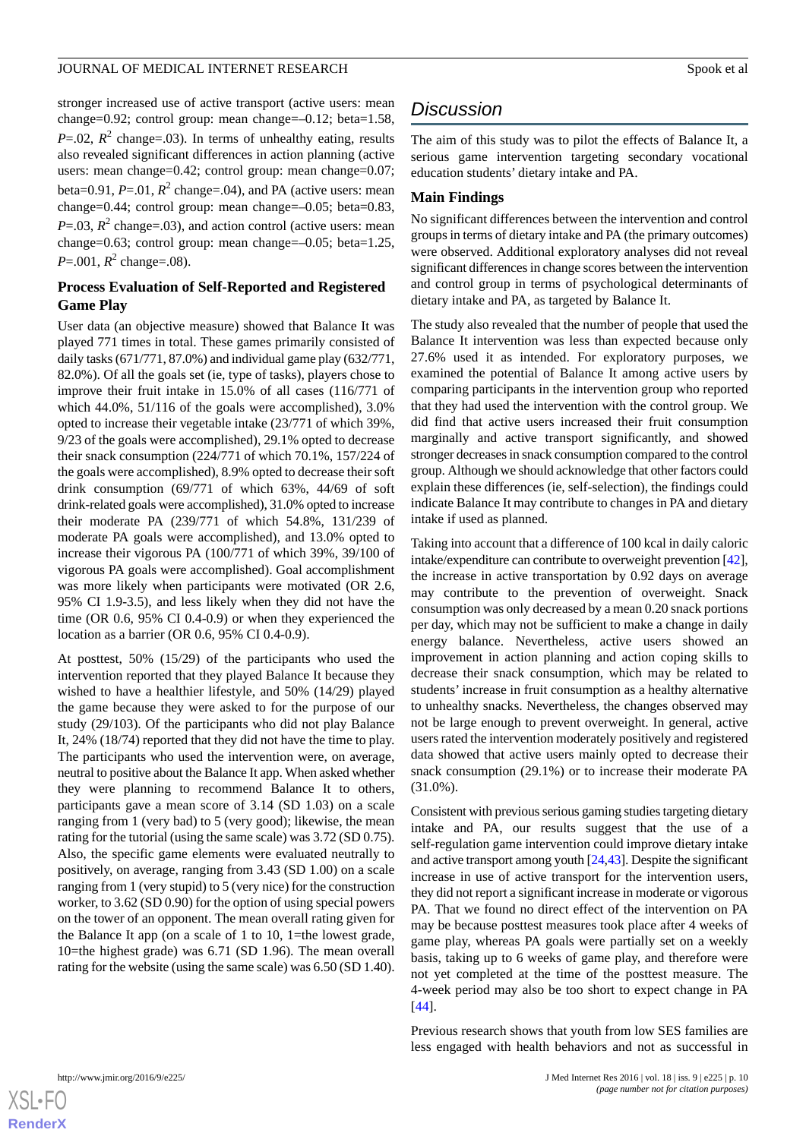stronger increased use of active transport (active users: mean change=0.92; control group: mean change=–0.12; beta=1.58,  $P = .02$ ,  $R^2$  change=.03). In terms of unhealthy eating, results also revealed significant differences in action planning (active users: mean change=0.42; control group: mean change=0.07; beta= $0.91$ ,  $P = 01$ ,  $R^2$  change= $.04$ ), and PA (active users: mean change=0.44; control group: mean change=–0.05; beta=0.83,  $P = .03$ ,  $R^2$  change=.03), and action control (active users: mean change=0.63; control group: mean change=–0.05; beta=1.25,  $P = 0.001$ ,  $R^2$  change= $.08$ ).

### **Process Evaluation of Self-Reported and Registered Game Play**

User data (an objective measure) showed that Balance It was played 771 times in total. These games primarily consisted of daily tasks (671/771, 87.0%) and individual game play (632/771, 82.0%). Of all the goals set (ie, type of tasks), players chose to improve their fruit intake in 15.0% of all cases (116/771 of which 44.0%, 51/116 of the goals were accomplished), 3.0% opted to increase their vegetable intake (23/771 of which 39%, 9/23 of the goals were accomplished), 29.1% opted to decrease their snack consumption (224/771 of which 70.1%, 157/224 of the goals were accomplished), 8.9% opted to decrease their soft drink consumption (69/771 of which 63%, 44/69 of soft drink-related goals were accomplished), 31.0% opted to increase their moderate PA (239/771 of which 54.8%, 131/239 of moderate PA goals were accomplished), and 13.0% opted to increase their vigorous PA (100/771 of which 39%, 39/100 of vigorous PA goals were accomplished). Goal accomplishment was more likely when participants were motivated (OR 2.6, 95% CI 1.9-3.5), and less likely when they did not have the time (OR 0.6, 95% CI 0.4-0.9) or when they experienced the location as a barrier (OR 0.6, 95% CI 0.4-0.9).

At posttest, 50% (15/29) of the participants who used the intervention reported that they played Balance It because they wished to have a healthier lifestyle, and 50% (14/29) played the game because they were asked to for the purpose of our study (29/103). Of the participants who did not play Balance It, 24% (18/74) reported that they did not have the time to play. The participants who used the intervention were, on average, neutral to positive about the Balance It app. When asked whether they were planning to recommend Balance It to others, participants gave a mean score of 3.14 (SD 1.03) on a scale ranging from 1 (very bad) to 5 (very good); likewise, the mean rating for the tutorial (using the same scale) was 3.72 (SD 0.75). Also, the specific game elements were evaluated neutrally to positively, on average, ranging from 3.43 (SD 1.00) on a scale ranging from 1 (very stupid) to 5 (very nice) for the construction worker, to 3.62 (SD 0.90) for the option of using special powers on the tower of an opponent. The mean overall rating given for the Balance It app (on a scale of 1 to 10, 1=the lowest grade, 10=the highest grade) was 6.71 (SD 1.96). The mean overall rating for the website (using the same scale) was 6.50 (SD 1.40).

# *Discussion*

The aim of this study was to pilot the effects of Balance It, a serious game intervention targeting secondary vocational education students' dietary intake and PA.

### **Main Findings**

No significant differences between the intervention and control groups in terms of dietary intake and PA (the primary outcomes) were observed. Additional exploratory analyses did not reveal significant differences in change scores between the intervention and control group in terms of psychological determinants of dietary intake and PA, as targeted by Balance It.

The study also revealed that the number of people that used the Balance It intervention was less than expected because only 27.6% used it as intended. For exploratory purposes, we examined the potential of Balance It among active users by comparing participants in the intervention group who reported that they had used the intervention with the control group. We did find that active users increased their fruit consumption marginally and active transport significantly, and showed stronger decreases in snack consumption compared to the control group. Although we should acknowledge that other factors could explain these differences (ie, self-selection), the findings could indicate Balance It may contribute to changes in PA and dietary intake if used as planned.

Taking into account that a difference of 100 kcal in daily caloric intake/expenditure can contribute to overweight prevention [\[42](#page-12-18)], the increase in active transportation by 0.92 days on average may contribute to the prevention of overweight. Snack consumption was only decreased by a mean 0.20 snack portions per day, which may not be sufficient to make a change in daily energy balance. Nevertheless, active users showed an improvement in action planning and action coping skills to decrease their snack consumption, which may be related to students' increase in fruit consumption as a healthy alternative to unhealthy snacks. Nevertheless, the changes observed may not be large enough to prevent overweight. In general, active users rated the intervention moderately positively and registered data showed that active users mainly opted to decrease their snack consumption (29.1%) or to increase their moderate PA (31.0%).

Consistent with previous serious gaming studies targeting dietary intake and PA, our results suggest that the use of a self-regulation game intervention could improve dietary intake and active transport among youth [[24,](#page-12-0)[43\]](#page-12-19). Despite the significant increase in use of active transport for the intervention users, they did not report a significant increase in moderate or vigorous PA. That we found no direct effect of the intervention on PA may be because posttest measures took place after 4 weeks of game play, whereas PA goals were partially set on a weekly basis, taking up to 6 weeks of game play, and therefore were not yet completed at the time of the posttest measure. The 4-week period may also be too short to expect change in PA [[44\]](#page-12-20).

Previous research shows that youth from low SES families are less engaged with health behaviors and not as successful in

```
XSI - F(
```
**[RenderX](http://www.renderx.com/)**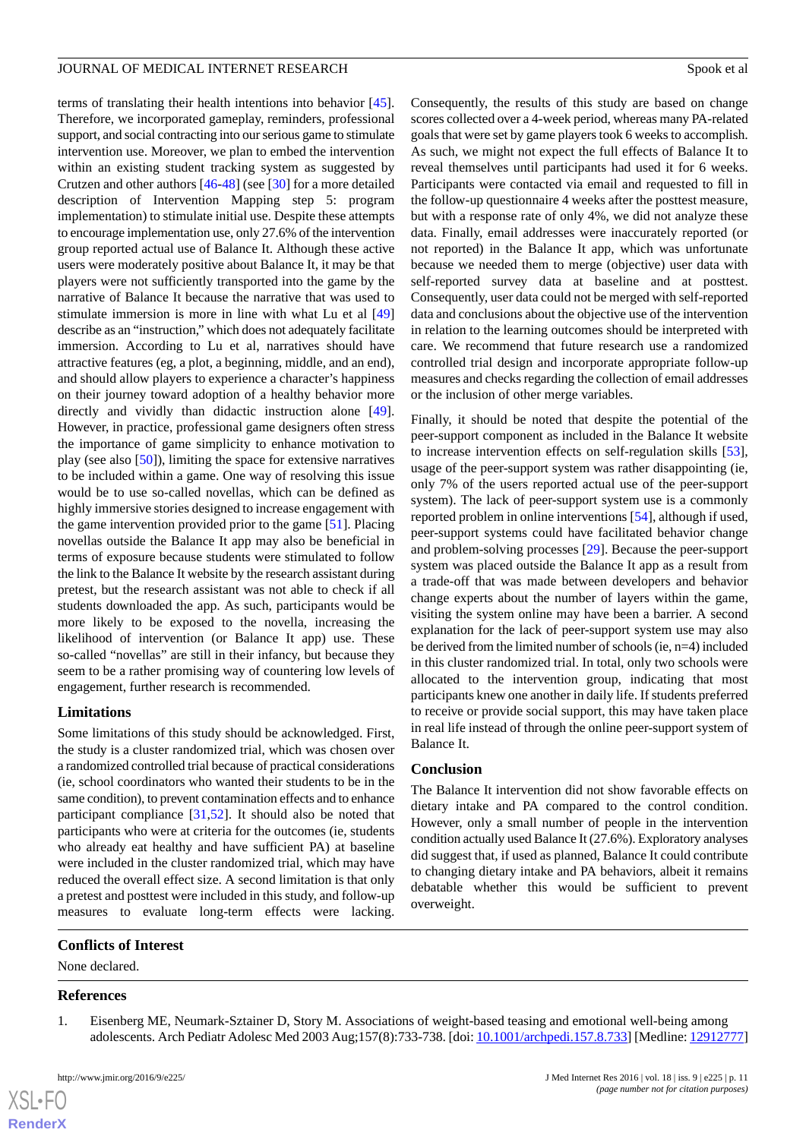terms of translating their health intentions into behavior [[45\]](#page-12-21). Therefore, we incorporated gameplay, reminders, professional support, and social contracting into our serious game to stimulate intervention use. Moreover, we plan to embed the intervention within an existing student tracking system as suggested by Crutzen and other authors [[46-](#page-12-22)[48](#page-13-0)] (see [\[30](#page-12-6)] for a more detailed description of Intervention Mapping step 5: program implementation) to stimulate initial use. Despite these attempts to encourage implementation use, only 27.6% of the intervention group reported actual use of Balance It. Although these active users were moderately positive about Balance It, it may be that players were not sufficiently transported into the game by the narrative of Balance It because the narrative that was used to stimulate immersion is more in line with what Lu et al [\[49](#page-13-1)] describe as an "instruction," which does not adequately facilitate immersion. According to Lu et al, narratives should have attractive features (eg, a plot, a beginning, middle, and an end), and should allow players to experience a character's happiness on their journey toward adoption of a healthy behavior more

directly and vividly than didactic instruction alone [[49\]](#page-13-1). However, in practice, professional game designers often stress the importance of game simplicity to enhance motivation to play (see also [\[50](#page-13-2)]), limiting the space for extensive narratives to be included within a game. One way of resolving this issue would be to use so-called novellas, which can be defined as highly immersive stories designed to increase engagement with the game intervention provided prior to the game [\[51](#page-13-3)]. Placing novellas outside the Balance It app may also be beneficial in terms of exposure because students were stimulated to follow the link to the Balance It website by the research assistant during pretest, but the research assistant was not able to check if all students downloaded the app. As such, participants would be more likely to be exposed to the novella, increasing the likelihood of intervention (or Balance It app) use. These so-called "novellas" are still in their infancy, but because they seem to be a rather promising way of countering low levels of engagement, further research is recommended.

# **Limitations**

Some limitations of this study should be acknowledged. First, the study is a cluster randomized trial, which was chosen over a randomized controlled trial because of practical considerations (ie, school coordinators who wanted their students to be in the same condition), to prevent contamination effects and to enhance participant compliance [[31,](#page-12-7)[52\]](#page-13-4). It should also be noted that participants who were at criteria for the outcomes (ie, students who already eat healthy and have sufficient PA) at baseline were included in the cluster randomized trial, which may have reduced the overall effect size. A second limitation is that only a pretest and posttest were included in this study, and follow-up measures to evaluate long-term effects were lacking.

# <span id="page-10-0"></span>**Conflicts of Interest**

None declared.

#### **References**

 $XS$ -FO **[RenderX](http://www.renderx.com/)**

1. Eisenberg ME, Neumark-Sztainer D, Story M. Associations of weight-based teasing and emotional well-being among adolescents. Arch Pediatr Adolesc Med 2003 Aug;157(8):733-738. [doi: [10.1001/archpedi.157.8.733\]](http://dx.doi.org/10.1001/archpedi.157.8.733) [Medline: [12912777\]](http://www.ncbi.nlm.nih.gov/entrez/query.fcgi?cmd=Retrieve&db=PubMed&list_uids=12912777&dopt=Abstract)

Consequently, the results of this study are based on change scores collected over a 4-week period, whereas many PA-related goals that were set by game players took 6 weeks to accomplish. As such, we might not expect the full effects of Balance It to reveal themselves until participants had used it for 6 weeks. Participants were contacted via email and requested to fill in the follow-up questionnaire 4 weeks after the posttest measure, but with a response rate of only 4%, we did not analyze these data. Finally, email addresses were inaccurately reported (or not reported) in the Balance It app, which was unfortunate because we needed them to merge (objective) user data with self-reported survey data at baseline and at posttest. Consequently, user data could not be merged with self-reported data and conclusions about the objective use of the intervention in relation to the learning outcomes should be interpreted with care. We recommend that future research use a randomized controlled trial design and incorporate appropriate follow-up measures and checks regarding the collection of email addresses or the inclusion of other merge variables.

Finally, it should be noted that despite the potential of the peer-support component as included in the Balance It website to increase intervention effects on self-regulation skills [[53\]](#page-13-5), usage of the peer-support system was rather disappointing (ie, only 7% of the users reported actual use of the peer-support system). The lack of peer-support system use is a commonly reported problem in online interventions [[54\]](#page-13-6), although if used, peer-support systems could have facilitated behavior change and problem-solving processes [\[29](#page-12-5)]. Because the peer-support system was placed outside the Balance It app as a result from a trade-off that was made between developers and behavior change experts about the number of layers within the game, visiting the system online may have been a barrier. A second explanation for the lack of peer-support system use may also be derived from the limited number of schools (ie, n=4) included in this cluster randomized trial. In total, only two schools were allocated to the intervention group, indicating that most participants knew one another in daily life. If students preferred to receive or provide social support, this may have taken place in real life instead of through the online peer-support system of Balance It.

# **Conclusion**

The Balance It intervention did not show favorable effects on dietary intake and PA compared to the control condition. However, only a small number of people in the intervention condition actually used Balance It (27.6%). Exploratory analyses did suggest that, if used as planned, Balance It could contribute to changing dietary intake and PA behaviors, albeit it remains debatable whether this would be sufficient to prevent overweight.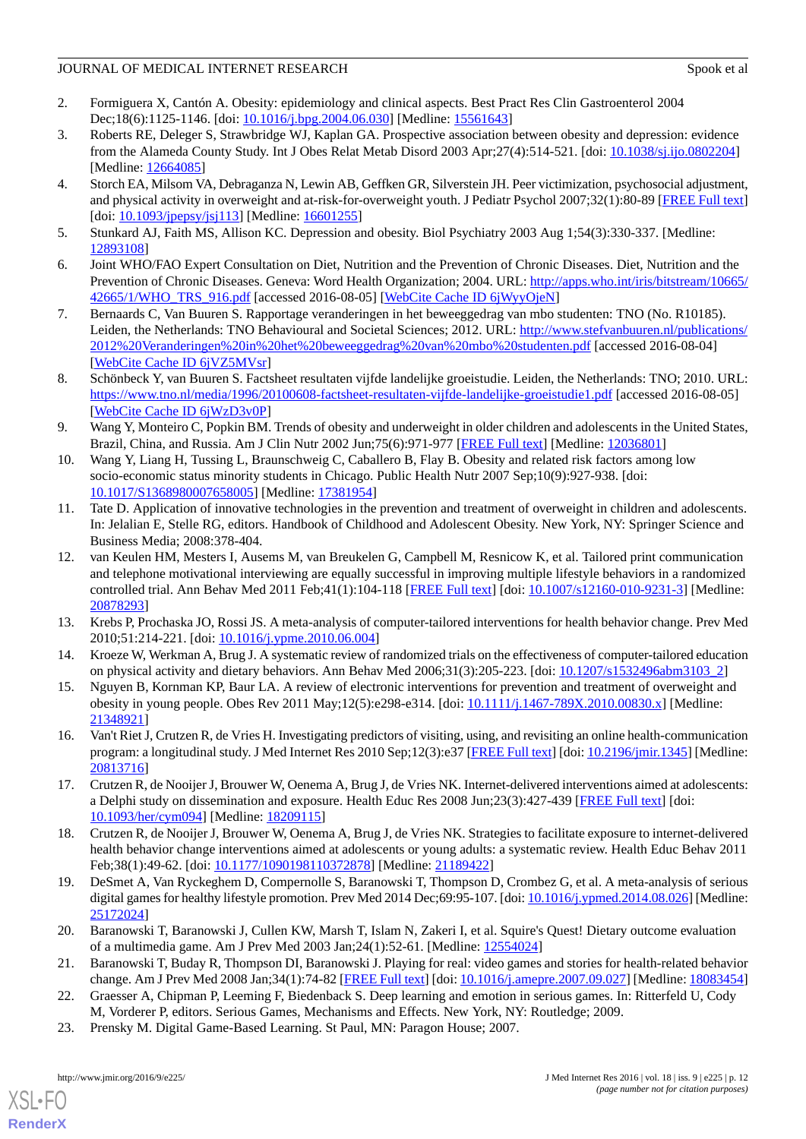- 2. Formiguera X, Cantón A. Obesity: epidemiology and clinical aspects. Best Pract Res Clin Gastroenterol 2004 Dec;18(6):1125-1146. [doi: [10.1016/j.bpg.2004.06.030\]](http://dx.doi.org/10.1016/j.bpg.2004.06.030) [Medline: [15561643](http://www.ncbi.nlm.nih.gov/entrez/query.fcgi?cmd=Retrieve&db=PubMed&list_uids=15561643&dopt=Abstract)]
- 3. Roberts RE, Deleger S, Strawbridge WJ, Kaplan GA. Prospective association between obesity and depression: evidence from the Alameda County Study. Int J Obes Relat Metab Disord 2003 Apr;27(4):514-521. [doi: [10.1038/sj.ijo.0802204](http://dx.doi.org/10.1038/sj.ijo.0802204)] [Medline: [12664085](http://www.ncbi.nlm.nih.gov/entrez/query.fcgi?cmd=Retrieve&db=PubMed&list_uids=12664085&dopt=Abstract)]
- 4. Storch EA, Milsom VA, Debraganza N, Lewin AB, Geffken GR, Silverstein JH. Peer victimization, psychosocial adjustment, and physical activity in overweight and at-risk-for-overweight youth. J Pediatr Psychol 2007;32(1):80-89 [[FREE Full text](http://jpepsy.oxfordjournals.org/cgi/pmidlookup?view=long&pmid=16601255)] [doi: [10.1093/jpepsy/jsj113](http://dx.doi.org/10.1093/jpepsy/jsj113)] [Medline: [16601255](http://www.ncbi.nlm.nih.gov/entrez/query.fcgi?cmd=Retrieve&db=PubMed&list_uids=16601255&dopt=Abstract)]
- <span id="page-11-0"></span>5. Stunkard AJ, Faith MS, Allison KC. Depression and obesity. Biol Psychiatry 2003 Aug 1;54(3):330-337. [Medline: [12893108](http://www.ncbi.nlm.nih.gov/entrez/query.fcgi?cmd=Retrieve&db=PubMed&list_uids=12893108&dopt=Abstract)]
- <span id="page-11-1"></span>6. Joint WHO/FAO Expert Consultation on Diet, Nutrition and the Prevention of Chronic Diseases. Diet, Nutrition and the Prevention of Chronic Diseases. Geneva: Word Health Organization; 2004. URL: [http://apps.who.int/iris/bitstream/10665/](http://apps.who.int/iris/bitstream/10665/42665/1/WHO_TRS_916.pdf) [42665/1/WHO\\_TRS\\_916.pdf](http://apps.who.int/iris/bitstream/10665/42665/1/WHO_TRS_916.pdf) [accessed 2016-08-05] [\[WebCite Cache ID 6jWyyOjeN](http://www.webcitation.org/

                                            6jWyyOjeN)]
- <span id="page-11-2"></span>7. Bernaards C, Van Buuren S. Rapportage veranderingen in het beweeggedrag van mbo studenten: TNO (No. R10185). Leiden, the Netherlands: TNO Behavioural and Societal Sciences; 2012. URL: [http://www.stefvanbuuren.nl/publications/](http://www.stefvanbuuren.nl/publications/2012%20Veranderingen%20in%20het%20beweeggedrag%20van%20mbo%20studenten.pdf) [2012%20Veranderingen%20in%20het%20beweeggedrag%20van%20mbo%20studenten.pdf](http://www.stefvanbuuren.nl/publications/2012%20Veranderingen%20in%20het%20beweeggedrag%20van%20mbo%20studenten.pdf) [accessed 2016-08-04] [[WebCite Cache ID 6jVZ5MVsr](http://www.webcitation.org/

                                            6jVZ5MVsr)]
- 8. Schönbeck Y, van Buuren S. Factsheet resultaten vijfde landelijke groeistudie. Leiden, the Netherlands: TNO; 2010. URL: <https://www.tno.nl/media/1996/20100608-factsheet-resultaten-vijfde-landelijke-groeistudie1.pdf> [accessed 2016-08-05] [[WebCite Cache ID 6jWzD3v0P](http://www.webcitation.org/

                                            6jWzD3v0P)]
- <span id="page-11-3"></span>9. Wang Y, Monteiro C, Popkin BM. Trends of obesity and underweight in older children and adolescents in the United States, Brazil, China, and Russia. Am J Clin Nutr 2002 Jun;75(6):971-977 [[FREE Full text](http://www.ajcn.org/cgi/pmidlookup?view=long&pmid=12036801)] [Medline: [12036801\]](http://www.ncbi.nlm.nih.gov/entrez/query.fcgi?cmd=Retrieve&db=PubMed&list_uids=12036801&dopt=Abstract)
- <span id="page-11-4"></span>10. Wang Y, Liang H, Tussing L, Braunschweig C, Caballero B, Flay B. Obesity and related risk factors among low socio-economic status minority students in Chicago. Public Health Nutr 2007 Sep;10(9):927-938. [doi: [10.1017/S1368980007658005](http://dx.doi.org/10.1017/S1368980007658005)] [Medline: [17381954](http://www.ncbi.nlm.nih.gov/entrez/query.fcgi?cmd=Retrieve&db=PubMed&list_uids=17381954&dopt=Abstract)]
- <span id="page-11-5"></span>11. Tate D. Application of innovative technologies in the prevention and treatment of overweight in children and adolescents. In: Jelalian E, Stelle RG, editors. Handbook of Childhood and Adolescent Obesity. New York, NY: Springer Science and Business Media; 2008:378-404.
- <span id="page-11-6"></span>12. van Keulen HM, Mesters I, Ausems M, van Breukelen G, Campbell M, Resnicow K, et al. Tailored print communication and telephone motivational interviewing are equally successful in improving multiple lifestyle behaviors in a randomized controlled trial. Ann Behav Med 2011 Feb;41(1):104-118 [[FREE Full text](http://europepmc.org/abstract/MED/20878293)] [doi: [10.1007/s12160-010-9231-3\]](http://dx.doi.org/10.1007/s12160-010-9231-3) [Medline: [20878293](http://www.ncbi.nlm.nih.gov/entrez/query.fcgi?cmd=Retrieve&db=PubMed&list_uids=20878293&dopt=Abstract)]
- <span id="page-11-7"></span>13. Krebs P, Prochaska JO, Rossi JS. A meta-analysis of computer-tailored interventions for health behavior change. Prev Med 2010;51:214-221. [doi: [10.1016/j.ypme.2010.06.004](http://dx.doi.org/10.1016/j.ypme.2010.06.004)]
- <span id="page-11-8"></span>14. Kroeze W, Werkman A, Brug J. A systematic review of randomized trials on the effectiveness of computer-tailored education on physical activity and dietary behaviors. Ann Behav Med 2006;31(3):205-223. [doi: [10.1207/s1532496abm3103\\_2\]](http://dx.doi.org/10.1207/s1532496abm3103_2)
- <span id="page-11-9"></span>15. Nguyen B, Kornman KP, Baur LA. A review of electronic interventions for prevention and treatment of overweight and obesity in young people. Obes Rev 2011 May;12(5):e298-e314. [doi: [10.1111/j.1467-789X.2010.00830.x](http://dx.doi.org/10.1111/j.1467-789X.2010.00830.x)] [Medline: [21348921](http://www.ncbi.nlm.nih.gov/entrez/query.fcgi?cmd=Retrieve&db=PubMed&list_uids=21348921&dopt=Abstract)]
- 16. Van't Riet J, Crutzen R, de Vries H. Investigating predictors of visiting, using, and revisiting an online health-communication program: a longitudinal study. J Med Internet Res 2010 Sep;12(3):e37 [\[FREE Full text\]](http://www.jmir.org/2010/3/e37/) [doi: [10.2196/jmir.1345\]](http://dx.doi.org/10.2196/jmir.1345) [Medline: [20813716](http://www.ncbi.nlm.nih.gov/entrez/query.fcgi?cmd=Retrieve&db=PubMed&list_uids=20813716&dopt=Abstract)]
- <span id="page-11-10"></span>17. Crutzen R, de Nooijer J, Brouwer W, Oenema A, Brug J, de Vries NK. Internet-delivered interventions aimed at adolescents: a Delphi study on dissemination and exposure. Health Educ Res 2008 Jun;23(3):427-439 [\[FREE Full text\]](http://her.oxfordjournals.org/cgi/pmidlookup?view=long&pmid=18209115) [doi: [10.1093/her/cym094](http://dx.doi.org/10.1093/her/cym094)] [Medline: [18209115](http://www.ncbi.nlm.nih.gov/entrez/query.fcgi?cmd=Retrieve&db=PubMed&list_uids=18209115&dopt=Abstract)]
- <span id="page-11-11"></span>18. Crutzen R, de Nooijer J, Brouwer W, Oenema A, Brug J, de Vries NK. Strategies to facilitate exposure to internet-delivered health behavior change interventions aimed at adolescents or young adults: a systematic review. Health Educ Behav 2011 Feb;38(1):49-62. [doi: [10.1177/1090198110372878\]](http://dx.doi.org/10.1177/1090198110372878) [Medline: [21189422\]](http://www.ncbi.nlm.nih.gov/entrez/query.fcgi?cmd=Retrieve&db=PubMed&list_uids=21189422&dopt=Abstract)
- 19. DeSmet A, Van Ryckeghem D, Compernolle S, Baranowski T, Thompson D, Crombez G, et al. A meta-analysis of serious digital games for healthy lifestyle promotion. Prev Med 2014 Dec;69:95-107. [doi: [10.1016/j.ypmed.2014.08.026\]](http://dx.doi.org/10.1016/j.ypmed.2014.08.026) [Medline: [25172024](http://www.ncbi.nlm.nih.gov/entrez/query.fcgi?cmd=Retrieve&db=PubMed&list_uids=25172024&dopt=Abstract)]
- <span id="page-11-12"></span>20. Baranowski T, Baranowski J, Cullen KW, Marsh T, Islam N, Zakeri I, et al. Squire's Quest! Dietary outcome evaluation of a multimedia game. Am J Prev Med 2003 Jan;24(1):52-61. [Medline: [12554024\]](http://www.ncbi.nlm.nih.gov/entrez/query.fcgi?cmd=Retrieve&db=PubMed&list_uids=12554024&dopt=Abstract)
- 21. Baranowski T, Buday R, Thompson DI, Baranowski J. Playing for real: video games and stories for health-related behavior change. Am J Prev Med 2008 Jan;34(1):74-82 [\[FREE Full text\]](http://europepmc.org/abstract/MED/18083454) [doi: [10.1016/j.amepre.2007.09.027\]](http://dx.doi.org/10.1016/j.amepre.2007.09.027) [Medline: [18083454](http://www.ncbi.nlm.nih.gov/entrez/query.fcgi?cmd=Retrieve&db=PubMed&list_uids=18083454&dopt=Abstract)]
- 22. Graesser A, Chipman P, Leeming F, Biedenback S. Deep learning and emotion in serious games. In: Ritterfeld U, Cody M, Vorderer P, editors. Serious Games, Mechanisms and Effects. New York, NY: Routledge; 2009.
- 23. Prensky M. Digital Game-Based Learning. St Paul, MN: Paragon House; 2007.

[XSL](http://www.w3.org/Style/XSL)•FO **[RenderX](http://www.renderx.com/)**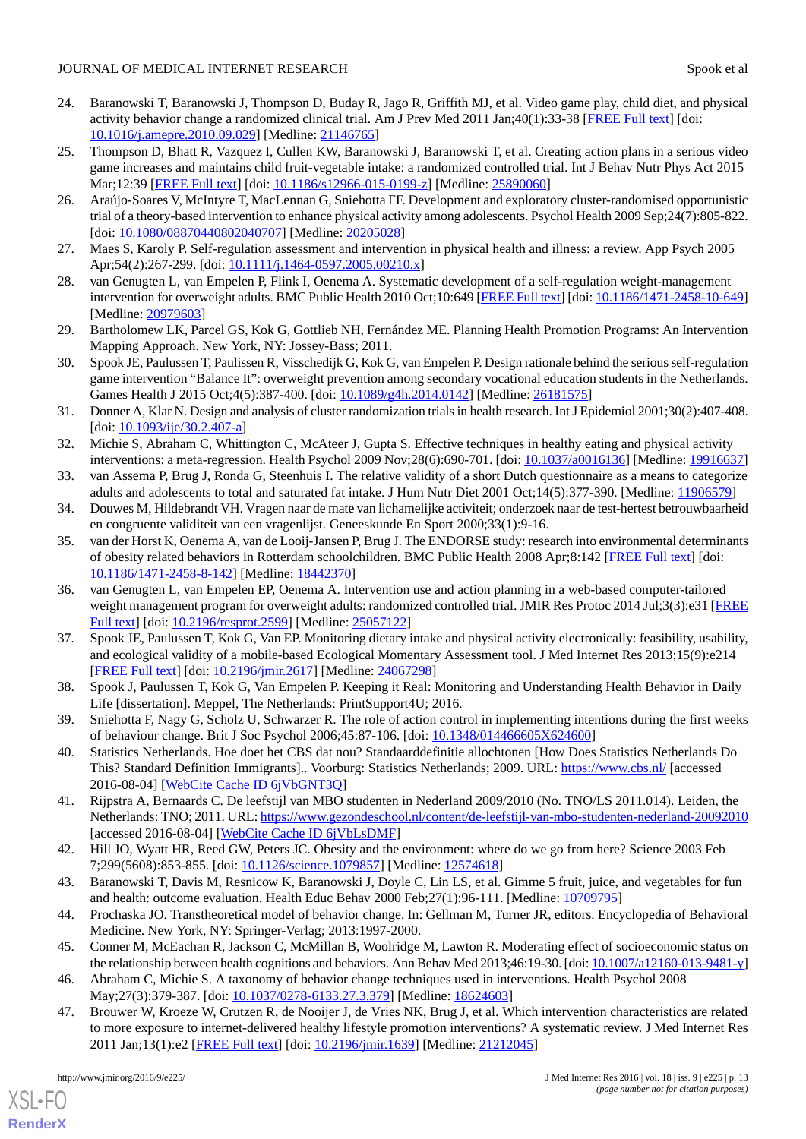- <span id="page-12-0"></span>24. Baranowski T, Baranowski J, Thompson D, Buday R, Jago R, Griffith MJ, et al. Video game play, child diet, and physical activity behavior change a randomized clinical trial. Am J Prev Med 2011 Jan;40(1):33-38 [\[FREE Full text](http://europepmc.org/abstract/MED/21146765)] [doi: [10.1016/j.amepre.2010.09.029](http://dx.doi.org/10.1016/j.amepre.2010.09.029)] [Medline: [21146765\]](http://www.ncbi.nlm.nih.gov/entrez/query.fcgi?cmd=Retrieve&db=PubMed&list_uids=21146765&dopt=Abstract)
- <span id="page-12-1"></span>25. Thompson D, Bhatt R, Vazquez I, Cullen KW, Baranowski J, Baranowski T, et al. Creating action plans in a serious video game increases and maintains child fruit-vegetable intake: a randomized controlled trial. Int J Behav Nutr Phys Act 2015 Mar;12:39 [[FREE Full text\]](http://ijbnpa.biomedcentral.com/articles/10.1186/s12966-015-0199-z) [doi: [10.1186/s12966-015-0199-z\]](http://dx.doi.org/10.1186/s12966-015-0199-z) [Medline: [25890060\]](http://www.ncbi.nlm.nih.gov/entrez/query.fcgi?cmd=Retrieve&db=PubMed&list_uids=25890060&dopt=Abstract)
- <span id="page-12-3"></span><span id="page-12-2"></span>26. Araújo-Soares V, McIntyre T, MacLennan G, Sniehotta FF. Development and exploratory cluster-randomised opportunistic trial of a theory-based intervention to enhance physical activity among adolescents. Psychol Health 2009 Sep;24(7):805-822. [doi: [10.1080/08870440802040707](http://dx.doi.org/10.1080/08870440802040707)] [Medline: [20205028\]](http://www.ncbi.nlm.nih.gov/entrez/query.fcgi?cmd=Retrieve&db=PubMed&list_uids=20205028&dopt=Abstract)
- <span id="page-12-4"></span>27. Maes S, Karoly P. Self-regulation assessment and intervention in physical health and illness: a review. App Psych 2005 Apr;54(2):267-299. [doi: [10.1111/j.1464-0597.2005.00210.x](http://dx.doi.org/10.1111/j.1464-0597.2005.00210.x)]
- <span id="page-12-5"></span>28. van Genugten L, van Empelen P, Flink I, Oenema A. Systematic development of a self-regulation weight-management intervention for overweight adults. BMC Public Health 2010 Oct;10:649 [\[FREE Full text](http://bmcpublichealth.biomedcentral.com/articles/10.1186/1471-2458-10-649)] [doi: [10.1186/1471-2458-10-649](http://dx.doi.org/10.1186/1471-2458-10-649)] [Medline: [20979603](http://www.ncbi.nlm.nih.gov/entrez/query.fcgi?cmd=Retrieve&db=PubMed&list_uids=20979603&dopt=Abstract)]
- <span id="page-12-6"></span>29. Bartholomew LK, Parcel GS, Kok G, Gottlieb NH, Fernández ME. Planning Health Promotion Programs: An Intervention Mapping Approach. New York, NY: Jossey-Bass; 2011.
- <span id="page-12-7"></span>30. Spook JE, Paulussen T, Paulissen R, Visschedijk G, Kok G, van Empelen P. Design rationale behind the serious self-regulation game intervention "Balance It": overweight prevention among secondary vocational education students in the Netherlands. Games Health J 2015 Oct;4(5):387-400. [doi:  $10.1089/g4h.2014.0142$ ] [Medline: [26181575](http://www.ncbi.nlm.nih.gov/entrez/query.fcgi?cmd=Retrieve&db=PubMed&list_uids=26181575&dopt=Abstract)]
- <span id="page-12-8"></span>31. Donner A, Klar N. Design and analysis of cluster randomization trials in health research. Int J Epidemiol 2001;30(2):407-408.  $\left[$ doi:  $\frac{10.1093}{\text{tie}}\right. \left| \frac{30.2.407}{\text{a}} \right]$
- <span id="page-12-10"></span><span id="page-12-9"></span>32. Michie S, Abraham C, Whittington C, McAteer J, Gupta S. Effective techniques in healthy eating and physical activity interventions: a meta-regression. Health Psychol 2009 Nov;28(6):690-701. [doi: [10.1037/a0016136](http://dx.doi.org/10.1037/a0016136)] [Medline: [19916637](http://www.ncbi.nlm.nih.gov/entrez/query.fcgi?cmd=Retrieve&db=PubMed&list_uids=19916637&dopt=Abstract)]
- <span id="page-12-11"></span>33. van Assema P, Brug J, Ronda G, Steenhuis I. The relative validity of a short Dutch questionnaire as a means to categorize adults and adolescents to total and saturated fat intake. J Hum Nutr Diet 2001 Oct;14(5):377-390. [Medline: [11906579\]](http://www.ncbi.nlm.nih.gov/entrez/query.fcgi?cmd=Retrieve&db=PubMed&list_uids=11906579&dopt=Abstract)
- 34. Douwes M, Hildebrandt VH. Vragen naar de mate van lichamelijke activiteit; onderzoek naar de test-hertest betrouwbaarheid en congruente validiteit van een vragenlijst. Geneeskunde En Sport 2000;33(1):9-16.
- <span id="page-12-12"></span>35. van der Horst K, Oenema A, van de Looij-Jansen P, Brug J. The ENDORSE study: research into environmental determinants of obesity related behaviors in Rotterdam schoolchildren. BMC Public Health 2008 Apr;8:142 [[FREE Full text](http://bmcpublichealth.biomedcentral.com/articles/10.1186/1471-2458-8-142)] [doi: [10.1186/1471-2458-8-142\]](http://dx.doi.org/10.1186/1471-2458-8-142) [Medline: [18442370\]](http://www.ncbi.nlm.nih.gov/entrez/query.fcgi?cmd=Retrieve&db=PubMed&list_uids=18442370&dopt=Abstract)
- <span id="page-12-13"></span>36. van Genugten L, van Empelen EP, Oenema A. Intervention use and action planning in a web-based computer-tailored weight management program for overweight adults: randomized controlled trial. JMIR Res Protoc 2014 Jul;3(3):e31 [\[FREE](http://www.researchprotocols.org/2014/3/e31/) [Full text\]](http://www.researchprotocols.org/2014/3/e31/) [doi: [10.2196/resprot.2599\]](http://dx.doi.org/10.2196/resprot.2599) [Medline: [25057122](http://www.ncbi.nlm.nih.gov/entrez/query.fcgi?cmd=Retrieve&db=PubMed&list_uids=25057122&dopt=Abstract)]
- <span id="page-12-15"></span><span id="page-12-14"></span>37. Spook JE, Paulussen T, Kok G, Van EP. Monitoring dietary intake and physical activity electronically: feasibility, usability, and ecological validity of a mobile-based Ecological Momentary Assessment tool. J Med Internet Res 2013;15(9):e214 [[FREE Full text](http://www.jmir.org/2013/9/e214/)] [doi: [10.2196/jmir.2617](http://dx.doi.org/10.2196/jmir.2617)] [Medline: [24067298](http://www.ncbi.nlm.nih.gov/entrez/query.fcgi?cmd=Retrieve&db=PubMed&list_uids=24067298&dopt=Abstract)]
- <span id="page-12-16"></span>38. Spook J, Paulussen T, Kok G, Van Empelen P. Keeping it Real: Monitoring and Understanding Health Behavior in Daily Life [dissertation]. Meppel, The Netherlands: PrintSupport4U; 2016.
- <span id="page-12-17"></span>39. Sniehotta F, Nagy G, Scholz U, Schwarzer R. The role of action control in implementing intentions during the first weeks of behaviour change. Brit J Soc Psychol 2006;45:87-106. [doi: [10.1348/014466605X624600\]](http://dx.doi.org/10.1348/014466605X624600)
- <span id="page-12-18"></span>40. Statistics Netherlands. Hoe doet het CBS dat nou? Standaarddefinitie allochtonen [How Does Statistics Netherlands Do This? Standard Definition Immigrants].. Voorburg: Statistics Netherlands; 2009. URL: <https://www.cbs.nl/> [accessed 2016-08-04] [\[WebCite Cache ID 6jVbGNT3Q\]](http://www.webcitation.org/

                                            6jVbGNT3Q)
- <span id="page-12-20"></span><span id="page-12-19"></span>41. Rijpstra A, Bernaards C. De leefstijl van MBO studenten in Nederland 2009/2010 (No. TNO/LS 2011.014). Leiden, the Netherlands: TNO; 2011. URL:<https://www.gezondeschool.nl/content/de-leefstijl-van-mbo-studenten-nederland-20092010> [accessed 2016-08-04] [\[WebCite Cache ID 6jVbLsDMF\]](http://www.webcitation.org/

                                            6jVbLsDMF)
- <span id="page-12-21"></span>42. Hill JO, Wyatt HR, Reed GW, Peters JC. Obesity and the environment: where do we go from here? Science 2003 Feb 7;299(5608):853-855. [doi: [10.1126/science.1079857\]](http://dx.doi.org/10.1126/science.1079857) [Medline: [12574618](http://www.ncbi.nlm.nih.gov/entrez/query.fcgi?cmd=Retrieve&db=PubMed&list_uids=12574618&dopt=Abstract)]
- <span id="page-12-22"></span>43. Baranowski T, Davis M, Resnicow K, Baranowski J, Doyle C, Lin LS, et al. Gimme 5 fruit, juice, and vegetables for fun and health: outcome evaluation. Health Educ Behav 2000 Feb;27(1):96-111. [Medline: [10709795](http://www.ncbi.nlm.nih.gov/entrez/query.fcgi?cmd=Retrieve&db=PubMed&list_uids=10709795&dopt=Abstract)]
- 44. Prochaska JO. Transtheoretical model of behavior change. In: Gellman M, Turner JR, editors. Encyclopedia of Behavioral Medicine. New York, NY: Springer-Verlag; 2013:1997-2000.
- 45. Conner M, McEachan R, Jackson C, McMillan B, Woolridge M, Lawton R. Moderating effect of socioeconomic status on the relationship between health cognitions and behaviors. Ann Behav Med 2013;46:19-30. [doi: [10.1007/a12160-013-9481-y\]](http://dx.doi.org/10.1007/a12160-013-9481-y)
- 46. Abraham C, Michie S. A taxonomy of behavior change techniques used in interventions. Health Psychol 2008 May;27(3):379-387. [doi: [10.1037/0278-6133.27.3.379\]](http://dx.doi.org/10.1037/0278-6133.27.3.379) [Medline: [18624603\]](http://www.ncbi.nlm.nih.gov/entrez/query.fcgi?cmd=Retrieve&db=PubMed&list_uids=18624603&dopt=Abstract)
- 47. Brouwer W, Kroeze W, Crutzen R, de Nooijer J, de Vries NK, Brug J, et al. Which intervention characteristics are related to more exposure to internet-delivered healthy lifestyle promotion interventions? A systematic review. J Med Internet Res 2011 Jan;13(1):e2 [[FREE Full text](http://www.jmir.org/2011/1/e2/)] [doi: [10.2196/jmir.1639](http://dx.doi.org/10.2196/jmir.1639)] [Medline: [21212045](http://www.ncbi.nlm.nih.gov/entrez/query.fcgi?cmd=Retrieve&db=PubMed&list_uids=21212045&dopt=Abstract)]